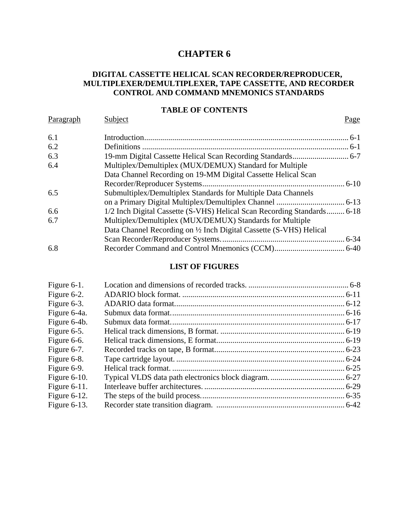# **CHAPTER 6**

## <span id="page-0-0"></span> **DIGITAL CASSETTE HELICAL SCAN RECORDER/REPRODUCER, MULTIPLEXER/DEMULTIPLEXER, TAPE CASSETTE, AND RECORDER CONTROL AND COMMAND MNEMONICS STANDARDS**

#### **TABLE OF CONTENTS**

| Paragraph | Subject                                                                 | Page |
|-----------|-------------------------------------------------------------------------|------|
| 6.1       |                                                                         |      |
| 6.2       |                                                                         |      |
| 6.3       |                                                                         |      |
| 6.4       | Multiplex/Demultiplex (MUX/DEMUX) Standard for Multiple                 |      |
|           | Data Channel Recording on 19-MM Digital Cassette Helical Scan           |      |
|           |                                                                         |      |
| 6.5       | Submultiplex/Demultiplex Standards for Multiple Data Channels           |      |
|           |                                                                         |      |
| 6.6       | 1/2 Inch Digital Cassette (S-VHS) Helical Scan Recording Standards 6-18 |      |
| 6.7       | Multiplex/Demultiplex (MUX/DEMUX) Standards for Multiple                |      |
|           | Data Channel Recording on 1/2 Inch Digital Cassette (S-VHS) Helical     |      |
|           |                                                                         |      |
| 6.8       |                                                                         |      |

#### **LIST OF FIGURES**

| Figure $6-1$ .  |  |
|-----------------|--|
| Figure 6-2.     |  |
| Figure 6-3.     |  |
| Figure 6-4a.    |  |
| Figure 6-4b.    |  |
| Figure 6-5.     |  |
| Figure 6-6.     |  |
| Figure 6-7.     |  |
| Figure 6-8.     |  |
| Figure 6-9.     |  |
| Figure $6-10$ . |  |
| Figure $6-11$ . |  |
| Figure $6-12$ . |  |
| Figure $6-13$ . |  |
|                 |  |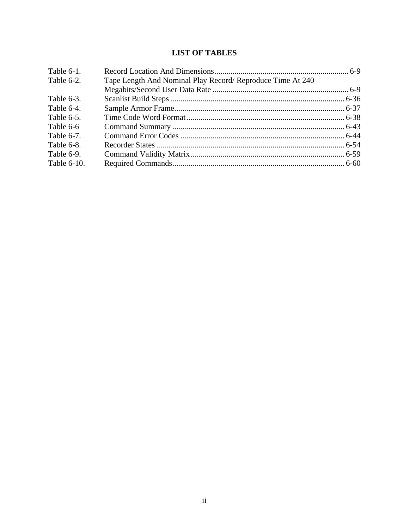# **LIST OF TABLES**

| Tape Length And Nominal Play Record/ Reproduce Time At 240<br>Table 6-2. |  |
|--------------------------------------------------------------------------|--|
|                                                                          |  |
| Table 6-3.                                                               |  |
| Table 6-4.                                                               |  |
| Table 6-5.                                                               |  |
| Table 6-6                                                                |  |
| Table 6-7.                                                               |  |
| Table 6-8.                                                               |  |
| Table 6-9.                                                               |  |
| Table 6-10.                                                              |  |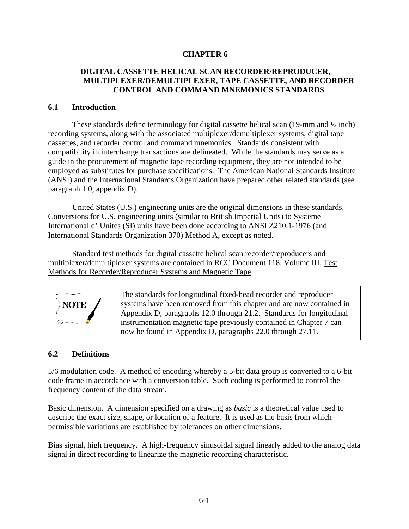## **CHAPTER 6**

## <span id="page-2-0"></span> **DIGITAL CASSETTE HELICAL SCAN RECORDER/REPRODUCER, MULTIPLEXER/DEMULTIPLEXER, TAPE CASSETTE, AND RECORDER CONTROL AND COMMAND MNEMONICS STANDARDS**

#### **6.1 Introduction**

These standards define terminology for digital cassette helical scan (19-mm and  $\frac{1}{2}$  inch) recording systems, along with the associated multiplexer/demultiplexer systems, digital tape cassettes, and recorder control and command mnemonics. Standards consistent with compatibility in interchange transactions are delineated. While the standards may serve as a guide in the procurement of magnetic tape recording equipment, they are not intended to be employed as substitutes for purchase specifications. The American National Standards Institute (ANSI) and the International Standards Organization have prepared other related standards (see paragraph 1.0, appendix D).

United States (U.S.) engineering units are the original dimensions in these standards. Conversions for U.S. engineering units (similar to British Imperial Units) to Systeme International d' Unites (SI) units have been done according to ANSI Z210.1-1976 (and International Standards Organization 370) Method A, except as noted.

Standard test methods for digital cassette helical scan recorder/reproducers and multiplexer/demultiplexer systems are contained in RCC Document 118, Volume III, Test Methods for Recorder/Reproducer Systems and Magnetic Tape.



## **6.2 Definitions**

**NOTE**

5/6 modulation code. A method of encoding whereby a 5-bit data group is converted to a 6-bit code frame in accordance with a conversion table. Such coding is performed to control the frequency content of the data stream.

Basic dimension. A dimension specified on a drawing as *basic* is a theoretical value used to describe the exact size, shape, or location of a feature. It is used as the basis from which permissible variations are established by tolerances on other dimensions.

Bias signal, high frequency. A high-frequency sinusoidal signal linearly added to the analog data signal in direct recording to linearize the magnetic recording characteristic.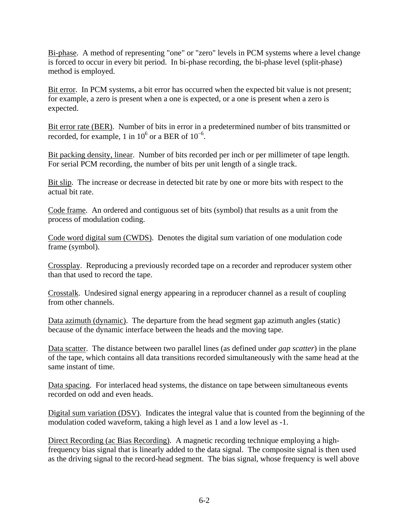Bi-phase. A method of representing "one" or "zero" levels in PCM systems where a level change is forced to occur in every bit period. In bi-phase recording, the bi-phase level (split-phase) method is employed.

Bit error. In PCM systems, a bit error has occurred when the expected bit value is not present; for example, a zero is present when a one is expected, or a one is present when a zero is expected.

Bit error rate (BER). Number of bits in error in a predetermined number of bits transmitted or recorded, for example, 1 in  $10^6$  or a BER of  $10^{-6}$ .

Bit packing density, linear. Number of bits recorded per inch or per millimeter of tape length. For serial PCM recording, the number of bits per unit length of a single track.

Bit slip. The increase or decrease in detected bit rate by one or more bits with respect to the actual bit rate.

Code frame. An ordered and contiguous set of bits (symbol) that results as a unit from the process of modulation coding.

Code word digital sum (CWDS). Denotes the digital sum variation of one modulation code frame (symbol).

Crossplay. Reproducing a previously recorded tape on a recorder and reproducer system other than that used to record the tape.

Crosstalk. Undesired signal energy appearing in a reproducer channel as a result of coupling from other channels.

Data azimuth (dynamic). The departure from the head segment gap azimuth angles (static) because of the dynamic interface between the heads and the moving tape.

Data scatter. The distance between two parallel lines (as defined under *gap scatter*) in the plane of the tape, which contains all data transitions recorded simultaneously with the same head at the same instant of time.

Data spacing. For interlaced head systems, the distance on tape between simultaneous events recorded on odd and even heads.

Digital sum variation (DSV). Indicates the integral value that is counted from the beginning of the modulation coded waveform, taking a high level as 1 and a low level as -1.

Direct Recording (ac Bias Recording). A magnetic recording technique employing a highfrequency bias signal that is linearly added to the data signal. The composite signal is then used as the driving signal to the record-head segment. The bias signal, whose frequency is well above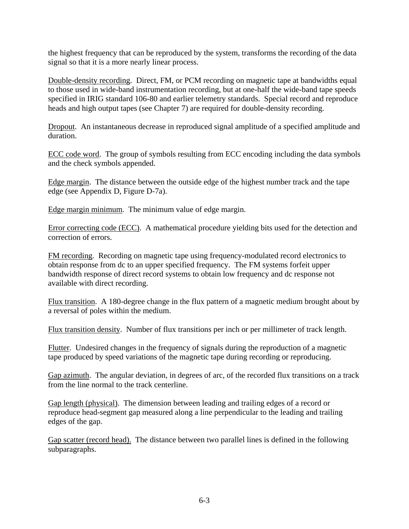the highest frequency that can be reproduced by the system, transforms the recording of the data signal so that it is a more nearly linear process.

Double-density recording. Direct, FM, or PCM recording on magnetic tape at bandwidths equal to those used in wide-band instrumentation recording, but at one-half the wide-band tape speeds specified in IRIG standard 106-80 and earlier telemetry standards. Special record and reproduce heads and high output tapes (see Chapter 7) are required for double-density recording.

Dropout. An instantaneous decrease in reproduced signal amplitude of a specified amplitude and duration.

ECC code word. The group of symbols resulting from ECC encoding including the data symbols and the check symbols appended.

Edge margin. The distance between the outside edge of the highest number track and the tape edge (see Appendix D, Figure D-7a).

Edge margin minimum. The minimum value of edge margin.

Error correcting code (ECC). A mathematical procedure yielding bits used for the detection and correction of errors.

FM recording. Recording on magnetic tape using frequency-modulated record electronics to obtain response from dc to an upper specified frequency. The FM systems forfeit upper bandwidth response of direct record systems to obtain low frequency and dc response not available with direct recording.

Flux transition. A 180-degree change in the flux pattern of a magnetic medium brought about by a reversal of poles within the medium.

Flux transition density. Number of flux transitions per inch or per millimeter of track length.

Flutter. Undesired changes in the frequency of signals during the reproduction of a magnetic tape produced by speed variations of the magnetic tape during recording or reproducing.

Gap azimuth. The angular deviation, in degrees of arc, of the recorded flux transitions on a track from the line normal to the track centerline.

Gap length (physical). The dimension between leading and trailing edges of a record or reproduce head-segment gap measured along a line perpendicular to the leading and trailing edges of the gap.

Gap scatter (record head). The distance between two parallel lines is defined in the following subparagraphs.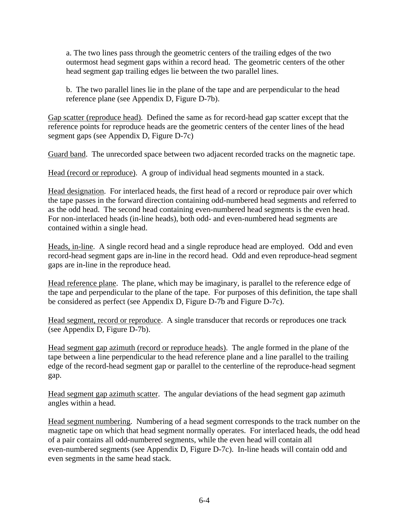a. The two lines pass through the geometric centers of the trailing edges of the two outermost head segment gaps within a record head. The geometric centers of the other head segment gap trailing edges lie between the two parallel lines.

b. The two parallel lines lie in the plane of the tape and are perpendicular to the head reference plane (see Appendix D, Figure D-7b).

Gap scatter (reproduce head). Defined the same as for record-head gap scatter except that the reference points for reproduce heads are the geometric centers of the center lines of the head segment gaps (see Appendix D, Figure D-7c)

Guard band. The unrecorded space between two adjacent recorded tracks on the magnetic tape.

Head (record or reproduce). A group of individual head segments mounted in a stack.

Head designation. For interlaced heads, the first head of a record or reproduce pair over which the tape passes in the forward direction containing odd-numbered head segments and referred to as the odd head. The second head containing even-numbered head segments is the even head. For non-interlaced heads (in-line heads), both odd- and even-numbered head segments are contained within a single head.

Heads, in-line. A single record head and a single reproduce head are employed. Odd and even record-head segment gaps are in-line in the record head. Odd and even reproduce-head segment gaps are in-line in the reproduce head.

Head reference plane. The plane, which may be imaginary, is parallel to the reference edge of the tape and perpendicular to the plane of the tape. For purposes of this definition, the tape shall be considered as perfect (see Appendix D, Figure D-7b and Figure D-7c).

Head segment, record or reproduce. A single transducer that records or reproduces one track (see Appendix D, Figure D-7b).

Head segment gap azimuth (record or reproduce heads). The angle formed in the plane of the tape between a line perpendicular to the head reference plane and a line parallel to the trailing edge of the record-head segment gap or parallel to the centerline of the reproduce-head segment gap.

Head segment gap azimuth scatter. The angular deviations of the head segment gap azimuth angles within a head.

Head segment numbering. Numbering of a head segment corresponds to the track number on the magnetic tape on which that head segment normally operates. For interlaced heads, the odd head of a pair contains all odd-numbered segments, while the even head will contain all even-numbered segments [\(see Appendix D, Figure D-7c\).](#page-0-0) In-line heads will contain odd and even segments in the same head stack.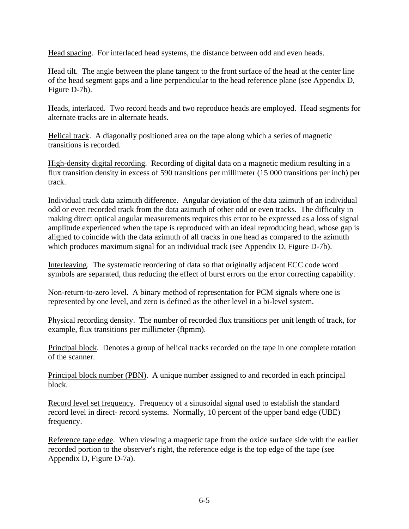Head spacing. For interlaced head systems, the distance between odd and even heads.

Head tilt. The angle between the plane tangent to the front surface of the head at the center line of the head segment gaps and a line perpendicular to the head reference plane (see Appendix D, Figure D-7b).

Heads, interlaced. Two record heads and two reproduce heads are employed. Head segments for alternate tracks are in alternate heads.

Helical track. A diagonally positioned area on the tape along which a series of magnetic transitions is recorded.

High-density digital recording. Recording of digital data on a magnetic medium resulting in a flux transition density in excess of 590 transitions per millimeter (15 000 transitions per inch) per track.

Individual track data azimuth difference. Angular deviation of the data azimuth of an individual odd or even recorded track from the data azimuth of other odd or even tracks. The difficulty in making direct optical angular measurements requires this error to be expressed as a loss of signal amplitude experienced when the tape is reproduced with an ideal reproducing head, whose gap is aligned to coincide with the data azimuth of all tracks in one head as compared to the azimuth which produces maximum signal for an individual track (see Appendix D, Figure D-7b).

Interleaving. The systematic reordering of data so that originally adjacent ECC code word symbols are separated, thus reducing the effect of burst errors on the error correcting capability.

Non-return-to-zero level. A binary method of representation for PCM signals where one is represented by one level, and zero is defined as the other level in a bi-level system.

Physical recording density. The number of recorded flux transitions per unit length of track, for example, flux transitions per millimeter (ftpmm).

Principal block. Denotes a group of helical tracks recorded on the tape in one complete rotation of the scanner.

Principal block number (PBN). A unique number assigned to and recorded in each principal block.

Record level set frequency. Frequency of a sinusoidal signal used to establish the standard record level in direct- record systems. Normally, 10 percent of the upper band edge (UBE) frequency.

Reference tape edge. When viewing a magnetic tape from the oxide surface side with the earlier recorded portion to the observer's right, the reference edge is the top edge of the tape (see Appendix D, Figure D-7a).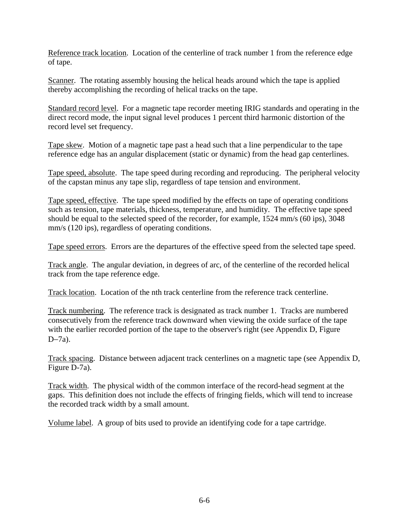Reference track location. Location of the centerline of track number 1 from the reference edge of tape.

Scanner. The rotating assembly housing the helical heads around which the tape is applied thereby accomplishing the recording of helical tracks on the tape.

Standard record level. For a magnetic tape recorder meeting IRIG standards and operating in the direct record mode, the input signal level produces 1 percent third harmonic distortion of the record level set frequency.

Tape skew. Motion of a magnetic tape past a head such that a line perpendicular to the tape reference edge has an angular displacement (static or dynamic) from the head gap centerlines.

Tape speed, absolute. The tape speed during recording and reproducing. The peripheral velocity of the capstan minus any tape slip, regardless of tape tension and environment.

Tape speed, effective. The tape speed modified by the effects on tape of operating conditions such as tension, tape materials, thickness, temperature, and humidity. The effective tape speed should be equal to the selected speed of the recorder, for example, 1524 mm/s (60 ips), 3048 mm/s (120 ips), regardless of operating conditions.

Tape speed errors. Errors are the departures of the effective speed from the selected tape speed.

Track angle. The angular deviation, in degrees of arc, of the centerline of the recorded helical track from the tape reference edge.

Track location. Location of the nth track centerline from the reference track centerline.

Track numbering. The reference track is designated as track number 1. Tracks are numbered consecutively from the reference track downward when viewing the oxide surface of the tape with the earlier recorded portion of the tape to the observer's right (see Appendix D, Figure D-7a).

Track spacing. Distance between adjacent track centerlines on a magnetic tape (see Appendix D, Figure D-7a).

Track width. The physical width of the common interface of the record-head segment at the gaps. This definition does not include the effects of fringing fields, which will tend to increase the recorded track width by a small amount.

Volume label. A group of bits used to provide an identifying code for a tape cartridge.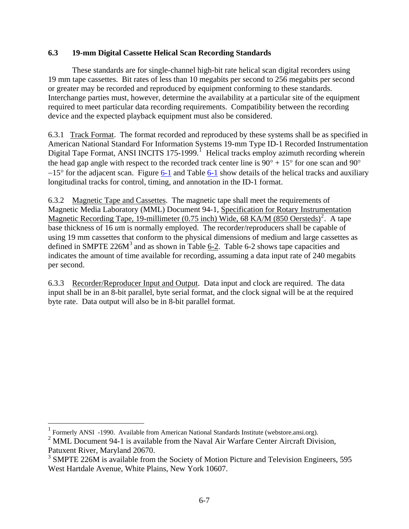# <span id="page-8-0"></span>**6.3 19-mm Digital Cassette Helical Scan Recording Standards**

 These standards are for single-channel high-bit rate helical scan digital recorders using 19 mm tape cassettes. Bit rates of less than 10 megabits per second to 256 megabits per second or greater may be recorded and reproduced by equipment conforming to these standards. Interchange parties must, however, determine the availability at a particular site of the equipment required to meet particular data recording requirements. Compatibility between the recording device and the expected playback equipment must also be considered.

6.3.1 Track Format. The format recorded and reproduced by these systems shall be as specified in American National Standard For Information Systems 19-mm Type ID-1 Recorded Instrumentation Digital Tape Format, ANSI INCITS [1](#page-8-1)75-1999.<sup>1</sup> Helical tracks employ azimuth recording wherein the head gap angle with respect to the recorded track center line is  $90^{\circ} + 15^{\circ}$  for one scan and  $90^{\circ}$ −15° for the adjacent scan. Figure [6-1](#page-9-0) and Table [6-1](#page-10-0) show details of the helical tracks and auxiliary longitudinal tracks for control, timing, and annotation in the ID-1 format.

6.3.2 Magnetic Tape and Cassettes. The magnetic tape shall meet the requirements of Magnetic Media Laboratory (MML) Document 94-1, Specification for Rotary Instrumentation Magnetic Recording Tape, 19-millimeter (0.75 inch) Wide, 68 KA/M (850 Oersteds)<sup>[2](#page-8-2)</sup>. A tape base thickness of 16 *u*m is normally employed. The recorder/reproducers shall be capable of using 19 mm cassettes that conform to the physical dimensions of medium and large cassettes as defined in SMPTE  $226M<sup>3</sup>$  $226M<sup>3</sup>$  $226M<sup>3</sup>$  and as shown in Table [6-2.](#page-10-0) Table 6-2 shows tape capacities and indicates the amount of time available for recording, assuming a data input rate of 240 megabits per second.

6.3.3 Recorder/Reproducer Input and Output. Data input and clock are required. The data input shall be in an 8-bit parallel, byte serial format, and the clock signal will be at the required byte rate. Data output will also be in 8-bit parallel format.

 1 Formerly ANSI -1990. Available from American National Standards Institute (webstore.ansi.org).

 $2^{2}$  MML Document 94-1 is available from the Naval Air Warfare Center Aircraft Division, Patuxent River, Maryland 20670.

<span id="page-8-3"></span><span id="page-8-2"></span><span id="page-8-1"></span><sup>&</sup>lt;sup>3</sup> SMPTE 226M is available from the Society of Motion Picture and Television Engineers, 595 West Hartdale Avenue, White Plains, New York 10607.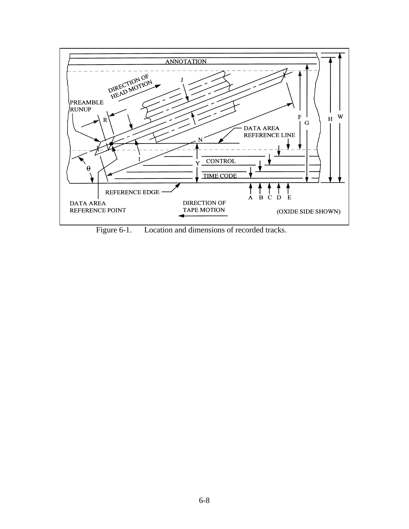<span id="page-9-0"></span>

Figure 6-1. Location and dimensions of recorded tracks.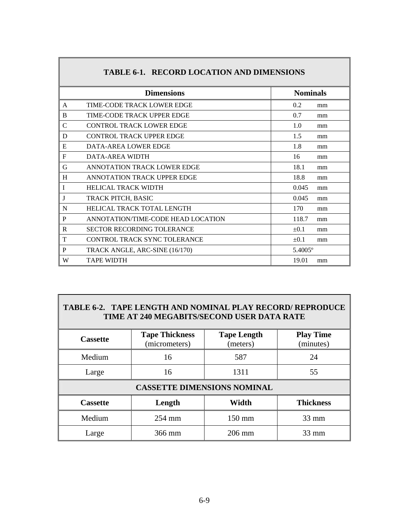<span id="page-10-0"></span>

|              | <b>Dimensions</b>                  | <b>Nominals</b> |    |
|--------------|------------------------------------|-----------------|----|
| A            | TIME-CODE TRACK LOWER EDGE         | 0.2             | mm |
| B            | TIME-CODE TRACK UPPER EDGE         | 0.7             | mm |
| C            | CONTROL TRACK LOWER EDGE           | 1.0             | mm |
| D            | <b>CONTROL TRACK UPPER EDGE</b>    | 1.5             | mm |
| Е            | DATA-AREA LOWER EDGE               | 1.8             | mm |
| F            | DATA-AREA WIDTH                    | 16              | mm |
| G            | ANNOTATION TRACK LOWER EDGE        | 18.1            | mm |
| H            | ANNOTATION TRACK UPPER EDGE        | 18.8            | mm |
| I            | <b>HELICAL TRACK WIDTH</b>         | 0.045           | mm |
| J            | TRACK PITCH, BASIC                 | 0.045           | mm |
| N            | HELICAL TRACK TOTAL LENGTH         | 170             | mm |
| P            | ANNOTATION/TIME-CODE HEAD LOCATION | 118.7           | mm |
| $\mathbf{R}$ | <b>SECTOR RECORDING TOLERANCE</b>  | $\pm 0.1$       | mm |
| T            | CONTROL TRACK SYNC TOLERANCE       | $\pm 0.1$       | mm |
| P            | TRACK ANGLE, ARC-SINE (16/170)     | 5.4005°         |    |
| W            | <b>TAPE WIDTH</b>                  | 19.01           | mm |

# **TABLE 6-1. RECORD LOCATION AND DIMENSIONS**

#### **TABLE 6-2. TAPE LENGTH AND NOMINAL PLAY RECORD/ REPRODUCE TIME AT 240 MEGABITS/SECOND USER DATA RATE**

| <b>Cassette</b>                    | <b>Tape Thickness</b><br>(micrometers) | <b>Tape Length</b><br>(meters) | <b>Play Time</b><br>(minutes) |  |  |  |  |  |  |
|------------------------------------|----------------------------------------|--------------------------------|-------------------------------|--|--|--|--|--|--|
| Medium                             | 16                                     | 587                            | 24                            |  |  |  |  |  |  |
| Large                              | 16                                     | 1311                           | 55                            |  |  |  |  |  |  |
| <b>CASSETTE DIMENSIONS NOMINAL</b> |                                        |                                |                               |  |  |  |  |  |  |
| <b>Cassette</b>                    | Length                                 | Width                          | <b>Thickness</b>              |  |  |  |  |  |  |
| Medium                             | $254$ mm                               | 150 mm                         | $33 \text{ mm}$               |  |  |  |  |  |  |
| Large                              | 366 mm                                 | 206 mm                         | $33 \text{ mm}$               |  |  |  |  |  |  |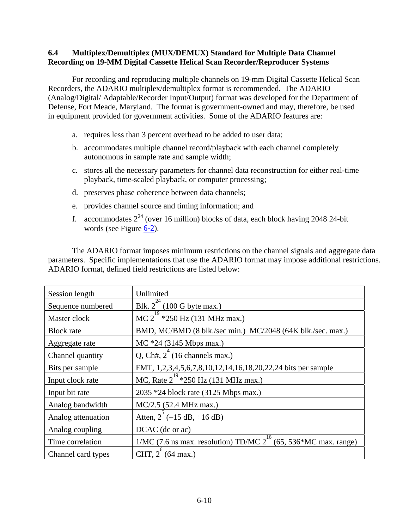## <span id="page-11-0"></span>**6.4 Multiplex/Demultiplex (MUX/DEMUX) Standard for Multiple Data Channel Recording on 19-MM Digital Cassette Helical Scan Recorder/Reproducer Systems**

 For recording and reproducing multiple channels on 19-mm Digital Cassette Helical Scan Recorders, the ADARIO multiplex/demultiplex format is recommended. The ADARIO (Analog/Digital/ Adaptable/Recorder Input/Output) format was developed for the Department of Defense, Fort Meade, Maryland. The format is government-owned and may, therefore, be used in equipment provided for government activities. Some of the ADARIO features are:

- a. requires less than 3 percent overhead to be added to user data;
- b. accommodates multiple channel record/playback with each channel completely autonomous in sample rate and sample width;
- c. stores all the necessary parameters for channel data reconstruction for either real-time playback, time-scaled playback, or computer processing;
- d. preserves phase coherence between data channels;
- e. provides channel source and timing information; and
- f. accommodates  $2^{24}$  (over 16 million) blocks of data, each block having 2048 24-bit words (see Figure [6-2](#page-12-0)).

 The ADARIO format imposes minimum restrictions on the channel signals and aggregate data parameters. Specific implementations that use the ADARIO format may impose additional restrictions. ADARIO format, defined field restrictions are listed below:

| Session length     | Unlimited                                                                    |
|--------------------|------------------------------------------------------------------------------|
| Sequence numbered  | Blk. $2^{24}$ (100 G byte max.)                                              |
| Master clock       | $\overline{MC}$ 2 <sup>19</sup> *250 Hz (131 MHz max.)                       |
| <b>Block</b> rate  | BMD, MC/BMD (8 blk./sec min.) MC/2048 (64K blk./sec. max.)                   |
| Aggregate rate     | $MC *24 (3145 Mbps max.)$                                                    |
| Channel quantity   | Q, Ch#, $2^{\text{T}}$ (16 channels max.)                                    |
| Bits per sample    | FMT, 1,2,3,4,5,6,7,8,10,12,14,16,18,20,22,24 bits per sample                 |
| Input clock rate   | MC, Rate $2^{19}$ *250 Hz (131 MHz max.)                                     |
| Input bit rate     | 2035 *24 block rate (3125 Mbps max.)                                         |
| Analog bandwidth   | MC/2.5 (52.4 MHz max.)                                                       |
| Analog attenuation | Atten, $2^{6}$ (-15 dB, +16 dB)                                              |
| Analog coupling    | DCAC (dc or ac)                                                              |
| Time correlation   | 16<br>$1/MC$ (7.6 ns max. resolution) TD/MC $2^{10}$ (65, 536*MC max. range) |
| Channel card types | CHT, $2^{6}$ (64 max.)                                                       |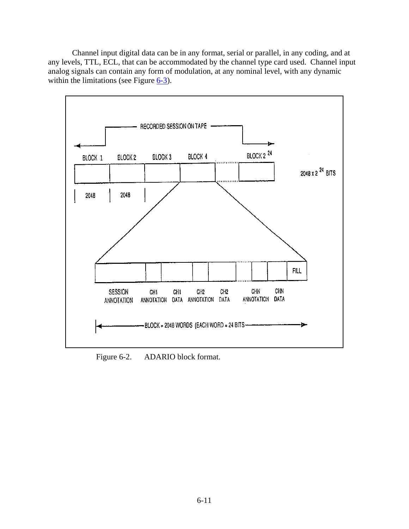<span id="page-12-0"></span> Channel input digital data can be in any format, serial or parallel, in any coding, and at any levels, TTL, ECL, that can be accommodated by the channel type card used. Channel input analog signals can contain any form of modulation, at any nominal level, with any dynamic within the limitations (see Figure  $6-3$ ).



Figure 6-2. ADARIO block format.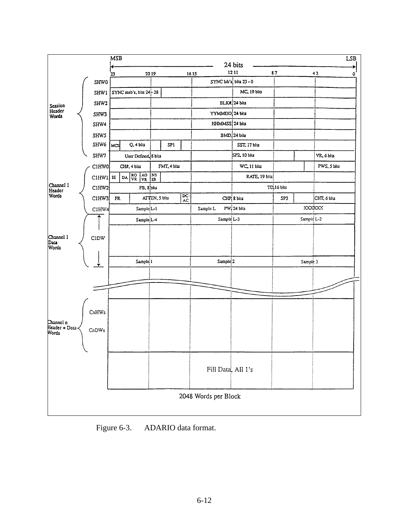<span id="page-13-0"></span>

Figure 6-3. ADARIO data format.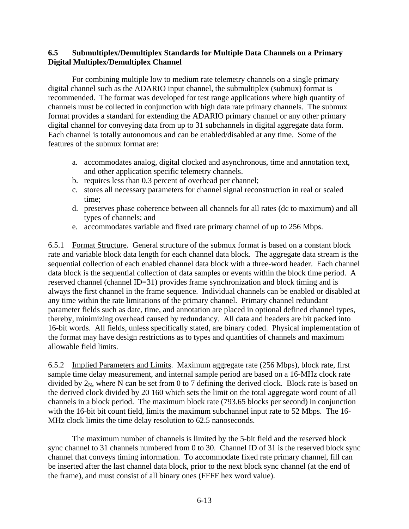## <span id="page-14-0"></span>**6.5 Submultiplex/Demultiplex Standards for Multiple Data Channels on a Primary Digital Multiplex/Demultiplex Channel**

 For combining multiple low to medium rate telemetry channels on a single primary digital channel such as the ADARIO input channel, the submultiplex (submux) format is recommended. The format was developed for test range applications where high quantity of channels must be collected in conjunction with high data rate primary channels. The submux format provides a standard for extending the ADARIO primary channel or any other primary digital channel for conveying data from up to 31 subchannels in digital aggregate data form. Each channel is totally autonomous and can be enabled/disabled at any time. Some of the features of the submux format are:

- a. accommodates analog, digital clocked and asynchronous, time and annotation text, and other application specific telemetry channels.
- b. requires less than 0.3 percent of overhead per channel;
- c. stores all necessary parameters for channel signal reconstruction in real or scaled time;
- d. preserves phase coherence between all channels for all rates (dc to maximum) and all types of channels; and
- e. accommodates variable and fixed rate primary channel of up to 256 Mbps.

6.5.1 Format Structure. General structure of the submux format is based on a constant block rate and variable block data length for each channel data block. The aggregate data stream is the sequential collection of each enabled channel data block with a three-word header. Each channel data block is the sequential collection of data samples or events within the block time period. A reserved channel (channel ID=31) provides frame synchronization and block timing and is always the first channel in the frame sequence. Individual channels can be enabled or disabled at any time within the rate limitations of the primary channel. Primary channel redundant parameter fields such as date, time, and annotation are placed in optional defined channel types, thereby, minimizing overhead caused by redundancy. All data and headers are bit packed into 16-bit words. All fields, unless specifically stated, are binary coded. Physical implementation of the format may have design restrictions as to types and quantities of channels and maximum allowable field limits.

6.5.2 Implied Parameters and Limits. Maximum aggregate rate (256 Mbps), block rate, first sample time delay measurement, and internal sample period are based on a 16-MHz clock rate divided by  $2_N$ , where N can be set from 0 to 7 defining the derived clock. Block rate is based on the derived clock divided by 20 160 which sets the limit on the total aggregate word count of all channels in a block period. The maximum block rate (793.65 blocks per second) in conjunction with the 16-bit bit count field, limits the maximum subchannel input rate to 52 Mbps. The 16- MHz clock limits the time delay resolution to 62.5 nanoseconds.

 The maximum number of channels is limited by the 5-bit field and the reserved block sync channel to 31 channels numbered from 0 to 30. Channel ID of 31 is the reserved block sync channel that conveys timing information. To accommodate fixed rate primary channel, fill can be inserted after the last channel data block, prior to the next block sync channel (at the end of the frame), and must consist of all binary ones (FFFF hex word value).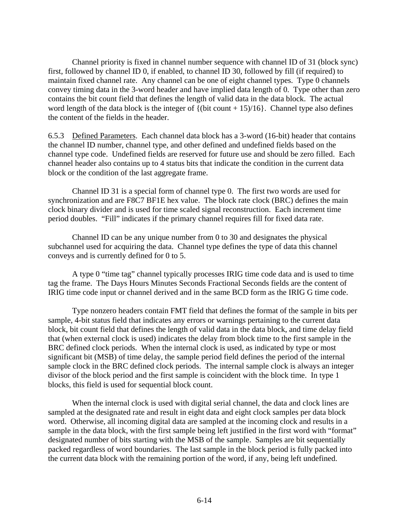Channel priority is fixed in channel number sequence with channel ID of 31 (block sync) first, followed by channel ID 0, if enabled, to channel ID 30, followed by fill (if required) to maintain fixed channel rate. Any channel can be one of eight channel types. Type 0 channels convey timing data in the 3-word header and have implied data length of 0. Type other than zero contains the bit count field that defines the length of valid data in the data block. The actual word length of the data block is the integer of  $\{(\text{bit count} + 15)/16\}$ . Channel type also defines the content of the fields in the header.

6.5.3 Defined Parameters. Each channel data block has a 3-word (16-bit) header that contains the channel ID number, channel type, and other defined and undefined fields based on the channel type code. Undefined fields are reserved for future use and should be zero filled. Each channel header also contains up to 4 status bits that indicate the condition in the current data block or the condition of the last aggregate frame.

 Channel ID 31 is a special form of channel type 0. The first two words are used for synchronization and are F8C7 BF1E hex value. The block rate clock (BRC) defines the main clock binary divider and is used for time scaled signal reconstruction. Each increment time period doubles. "Fill" indicates if the primary channel requires fill for fixed data rate.

 Channel ID can be any unique number from 0 to 30 and designates the physical subchannel used for acquiring the data. Channel type defines the type of data this channel conveys and is currently defined for 0 to 5.

 A type 0 "time tag" channel typically processes IRIG time code data and is used to time tag the frame. The Days Hours Minutes Seconds Fractional Seconds fields are the content of IRIG time code input or channel derived and in the same BCD form as the IRIG G time code.

 Type nonzero headers contain FMT field that defines the format of the sample in bits per sample, 4-bit status field that indicates any errors or warnings pertaining to the current data block, bit count field that defines the length of valid data in the data block, and time delay field that (when external clock is used) indicates the delay from block time to the first sample in the BRC defined clock periods. When the internal clock is used, as indicated by type or most significant bit (MSB) of time delay, the sample period field defines the period of the internal sample clock in the BRC defined clock periods. The internal sample clock is always an integer divisor of the block period and the first sample is coincident with the block time. In type 1 blocks, this field is used for sequential block count.

 When the internal clock is used with digital serial channel, the data and clock lines are sampled at the designated rate and result in eight data and eight clock samples per data block word. Otherwise, all incoming digital data are sampled at the incoming clock and results in a sample in the data block, with the first sample being left justified in the first word with "format" designated number of bits starting with the MSB of the sample. Samples are bit sequentially packed regardless of word boundaries. The last sample in the block period is fully packed into the current data block with the remaining portion of the word, if any, being left undefined.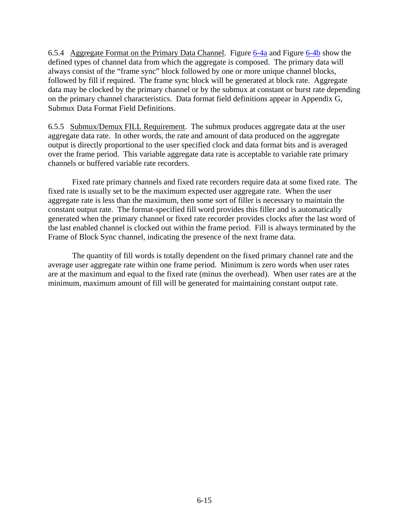6.5.4 Aggregate Format on the Primary Data Channel. Figure [6-4a](#page-17-0) and Figure [6-4b](#page-18-0) show the defined types of channel data from which the aggregate is composed. The primary data will always consist of the "frame sync" block followed by one or more unique channel blocks, followed by fill if required. The frame sync block will be generated at block rate. Aggregate data may be clocked by the primary channel or by the submux at constant or burst rate depending on the primary channel characteristics. Data format field definitions appear in Appendix G, Submux Data Format Field Definitions.

6.5.5 Submux/Demux FILL Requirement. The submux produces aggregate data at the user aggregate data rate. In other words, the rate and amount of data produced on the aggregate output is directly proportional to the user specified clock and data format bits and is averaged over the frame period. This variable aggregate data rate is acceptable to variable rate primary channels or buffered variable rate recorders.

 Fixed rate primary channels and fixed rate recorders require data at some fixed rate. The fixed rate is usually set to be the maximum expected user aggregate rate. When the user aggregate rate is less than the maximum, then some sort of filler is necessary to maintain the constant output rate. The format-specified fill word provides this filler and is automatically generated when the primary channel or fixed rate recorder provides clocks after the last word of the last enabled channel is clocked out within the frame period. Fill is always terminated by the Frame of Block Sync channel, indicating the presence of the next frame data.

 The quantity of fill words is totally dependent on the fixed primary channel rate and the average user aggregate rate within one frame period. Minimum is zero words when user rates are at the maximum and equal to the fixed rate (minus the overhead). When user rates are at the minimum, maximum amount of fill will be generated for maintaining constant output rate.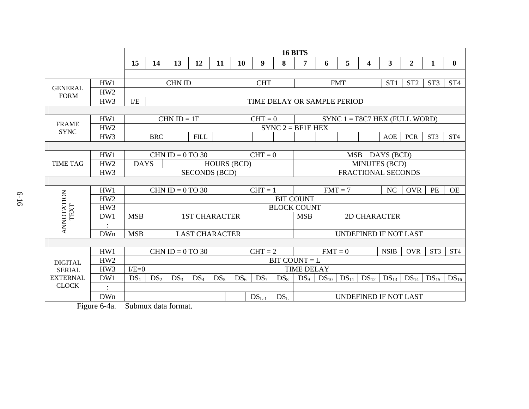|                               |                                  |                 | <b>16 BITS</b>                     |                                    |                       |        |                 |                      |                            |                                     |           |            |                                 |                         |                 |                 |                 |
|-------------------------------|----------------------------------|-----------------|------------------------------------|------------------------------------|-----------------------|--------|-----------------|----------------------|----------------------------|-------------------------------------|-----------|------------|---------------------------------|-------------------------|-----------------|-----------------|-----------------|
|                               |                                  | 15              | 14                                 | 13                                 | 12                    | 11     | 10              | $\boldsymbol{9}$     | 8                          | 7                                   | 6         | 5          | 4                               | $\overline{\mathbf{3}}$ | $\overline{2}$  | 1               | $\mathbf{0}$    |
|                               |                                  |                 |                                    |                                    |                       |        |                 |                      |                            |                                     |           |            |                                 |                         |                 |                 |                 |
|                               | HW1                              |                 |                                    | <b>CHN ID</b>                      |                       |        |                 | <b>CHT</b>           |                            |                                     |           | <b>FMT</b> |                                 | ST <sub>1</sub>         | ST <sub>2</sub> | ST <sub>3</sub> | ST <sub>4</sub> |
| <b>GENERAL</b><br><b>FORM</b> | HW <sub>2</sub>                  |                 |                                    |                                    |                       |        |                 |                      |                            |                                     |           |            |                                 |                         |                 |                 |                 |
|                               | HW3                              | E               | TIME DELAY OR SAMPLE PERIOD        |                                    |                       |        |                 |                      |                            |                                     |           |            |                                 |                         |                 |                 |                 |
|                               |                                  |                 |                                    |                                    |                       |        |                 |                      |                            |                                     |           |            |                                 |                         |                 |                 |                 |
| <b>FRAME</b>                  | HW1                              |                 |                                    | $CHN ID = 1F$                      |                       |        |                 | $CHT = 0$            |                            |                                     |           |            | $SYNC 1 = F8C7 HEX (FULL WORD)$ |                         |                 |                 |                 |
| <b>SYNC</b>                   | HW <sub>2</sub>                  |                 |                                    |                                    |                       |        |                 |                      |                            | $SYNC$ 2 = BF1E HEX                 |           |            |                                 |                         |                 |                 |                 |
|                               | HW <sub>3</sub>                  |                 | <b>BRC</b>                         |                                    | <b>FILL</b>           |        |                 |                      |                            |                                     |           |            |                                 | AOE                     | <b>PCR</b>      | ST <sub>3</sub> | ST <sub>4</sub> |
|                               |                                  |                 |                                    |                                    |                       |        |                 |                      |                            |                                     |           |            |                                 |                         |                 |                 |                 |
|                               | HW1                              |                 |                                    | CHN ID = $0$ TO 30                 |                       |        |                 | $CHT = 0$            |                            | MSB DAYS (BCD)                      |           |            |                                 |                         |                 |                 |                 |
| <b>TIME TAG</b>               | HW <sub>2</sub>                  |                 | <b>DAYS</b><br><b>HOURS (BCD)</b>  |                                    |                       |        |                 | <b>MINUTES (BCD)</b> |                            |                                     |           |            |                                 |                         |                 |                 |                 |
|                               | HW3                              |                 |                                    |                                    | <b>SECONDS (BCD)</b>  |        |                 |                      |                            | <b>FRACTIONAL SECONDS</b>           |           |            |                                 |                         |                 |                 |                 |
|                               |                                  |                 |                                    |                                    |                       |        |                 |                      |                            |                                     |           |            |                                 |                         |                 |                 |                 |
|                               | HW1                              |                 |                                    | CHN ID = $0$ TO 30                 |                       |        |                 | $CHT = 1$            |                            | $FMT = 7$<br>NC<br><b>OVR</b><br>PE |           |            |                                 |                         |                 | <b>OE</b>       |                 |
|                               | HW <sub>2</sub>                  |                 |                                    |                                    |                       |        |                 |                      |                            | <b>BIT COUNT</b>                    |           |            |                                 |                         |                 |                 |                 |
| TEXT                          | HW3                              |                 |                                    |                                    |                       |        |                 |                      |                            | <b>BLOCK COUNT</b>                  |           |            |                                 |                         |                 |                 |                 |
| <b>ANNOTATION</b>             | DW1                              |                 | <b>MSB</b><br><b>1ST CHARACTER</b> |                                    |                       |        |                 |                      | <b>MSB</b><br>2D CHARACTER |                                     |           |            |                                 |                         |                 |                 |                 |
|                               |                                  |                 |                                    |                                    |                       |        |                 |                      |                            |                                     |           |            |                                 |                         |                 |                 |                 |
|                               | <b>DWn</b>                       | <b>MSB</b>      |                                    |                                    | <b>LAST CHARACTER</b> |        |                 |                      |                            | <b>UNDEFINED IF NOT LAST</b>        |           |            |                                 |                         |                 |                 |                 |
|                               |                                  |                 |                                    |                                    |                       |        |                 |                      |                            |                                     |           |            |                                 |                         |                 |                 |                 |
|                               | HW1                              |                 |                                    | CHN ID = $0$ TO 30                 |                       |        |                 | $CHT = 2$            |                            |                                     | $FMT = 0$ |            |                                 | <b>NSIB</b>             | <b>OVR</b>      | ST <sub>3</sub> | ST <sub>4</sub> |
| <b>DIGITAL</b>                | HW <sub>2</sub>                  |                 | $BIT COUNT = L$                    |                                    |                       |        |                 |                      |                            |                                     |           |            |                                 |                         |                 |                 |                 |
| <b>SERIAL</b>                 | HW3                              |                 | $I/E=0$                            |                                    |                       |        |                 |                      |                            | <b>TIME DELAY</b>                   |           |            |                                 |                         |                 |                 |                 |
| <b>EXTERNAL</b>               | DW1                              | DS <sub>1</sub> | DS <sub>2</sub>                    | DS <sub>3</sub>                    | DS <sub>4</sub>       | $DS_5$ | DS <sub>6</sub> | DS <sub>7</sub>      | $DS_8$                     | DS <sub>9</sub>                     | $DS_{10}$ | $DS_{11}$  |                                 | $DS_{12}$ $DS_{13}$     | $DS_{14}$       | $DS_{15}$       | $DS_{16}$       |
| <b>CLOCK</b>                  |                                  |                 |                                    |                                    |                       |        |                 |                      |                            |                                     |           |            |                                 |                         |                 |                 |                 |
|                               | <b>DWn</b>                       |                 |                                    |                                    |                       |        |                 | $DSL-1$              | DS <sub>L</sub>            |                                     |           |            | UNDEFINED IF NOT LAST           |                         |                 |                 |                 |
|                               | $\Gamma$ and $\epsilon$ $\Delta$ |                 |                                    | $C1$ $A2$ $A3$ $A4$ $A5$ $A6$ $A7$ |                       |        |                 |                      |                            |                                     |           |            |                                 |                         |                 |                 |                 |

<span id="page-17-0"></span>Figure 6-4a. Submux data format.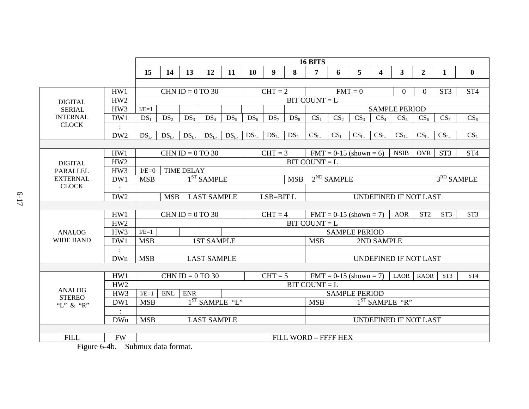|                  |                 |                                               | <b>16 BITS</b>  |                    |                    |                 |                 |                       |                                                                                          |                                          |                 |                          |                 |                      |                 |                 |                 |
|------------------|-----------------|-----------------------------------------------|-----------------|--------------------|--------------------|-----------------|-----------------|-----------------------|------------------------------------------------------------------------------------------|------------------------------------------|-----------------|--------------------------|-----------------|----------------------|-----------------|-----------------|-----------------|
|                  |                 | 15                                            | 14              | 13                 | 12                 | 11              | <b>10</b>       | 9                     | 8                                                                                        | 7                                        | 6               | $5\overline{)}$          | 4               | 3 <sup>1</sup>       | $\overline{2}$  | 1               | $\mathbf{0}$    |
|                  |                 |                                               |                 |                    |                    |                 |                 |                       |                                                                                          |                                          |                 |                          |                 |                      |                 |                 |                 |
|                  | HW1             |                                               |                 | CHN ID = $0$ TO 30 |                    |                 |                 | $CHT = 2$             |                                                                                          |                                          |                 | $FMT = 0$                |                 | $\overline{0}$       | $\overline{0}$  | ST <sub>3</sub> | ST <sub>4</sub> |
| <b>DIGITAL</b>   | HW <sub>2</sub> |                                               |                 |                    |                    |                 |                 |                       |                                                                                          | $BIT COUNT = L$                          |                 |                          |                 |                      |                 |                 |                 |
| <b>SERIAL</b>    | HW3             | $I/E=1$                                       |                 |                    |                    |                 |                 |                       |                                                                                          |                                          |                 |                          |                 | <b>SAMPLE PERIOD</b> |                 |                 |                 |
| <b>INTERNAL</b>  | DW1             | $DS_1$                                        | DS <sub>2</sub> | DS <sub>3</sub>    | DS <sub>4</sub>    | $DS_5$          | DS <sub>6</sub> | DS <sub>7</sub>       | $DS_8$                                                                                   | CS <sub>1</sub>                          | CS <sub>2</sub> | CS <sub>3</sub>          | CS <sub>4</sub> | CS <sub>5</sub>      | $CS_6$          | CS <sub>7</sub> | CS <sub>8</sub> |
| <b>CLOCK</b>     |                 |                                               |                 |                    |                    |                 |                 |                       |                                                                                          |                                          |                 |                          |                 |                      |                 |                 |                 |
|                  | DW <sub>2</sub> | DS <sub>L</sub>                               | DS <sub>L</sub> | DS <sub>1</sub>    | DS <sub>L</sub>    | DS <sub>1</sub> | DS <sub>1</sub> | DS <sub>1</sub>       | DS <sub>L</sub>                                                                          | CS <sub>L</sub>                          | $CS_L$          | CS <sub>L</sub>          | CS <sub>L</sub> | CS <sub>L</sub>      | CS <sub>L</sub> | CS <sub>L</sub> | CS <sub>L</sub> |
|                  |                 |                                               |                 |                    |                    |                 |                 |                       |                                                                                          |                                          |                 |                          |                 |                      |                 |                 |                 |
|                  | HW1             |                                               |                 | CHN ID = $0$ TO 30 |                    |                 |                 | $CHT = 3$             |                                                                                          |                                          |                 | $FMT = 0-15$ (shown = 6) |                 | <b>NSIB</b>          | OVR             | ST <sub>3</sub> | ST <sub>4</sub> |
| <b>DIGITAL</b>   | HW <sub>2</sub> |                                               |                 |                    |                    |                 |                 |                       |                                                                                          | $BIT COUNT = L$                          |                 |                          |                 |                      |                 |                 |                 |
| <b>PARALLEL</b>  | HW <sub>3</sub> | $I/E=0$                                       |                 | <b>TIME DELAY</b>  |                    |                 |                 |                       |                                                                                          |                                          |                 |                          |                 |                      |                 |                 |                 |
| <b>EXTERNAL</b>  | DW1             | $1ST$ SAMPLE<br><b>MSB</b><br><b>MSB</b>      |                 |                    |                    |                 |                 |                       | $2^{ND}$ SAMPLE<br>$3RD$ SAMPLE                                                          |                                          |                 |                          |                 |                      |                 |                 |                 |
| <b>CLOCK</b>     |                 |                                               |                 |                    |                    |                 |                 |                       |                                                                                          |                                          |                 |                          |                 |                      |                 |                 |                 |
|                  | DW <sub>2</sub> | <b>LAST SAMPLE</b><br><b>MSB</b><br>LSB=BIT L |                 |                    |                    |                 |                 | UNDEFINED IF NOT LAST |                                                                                          |                                          |                 |                          |                 |                      |                 |                 |                 |
|                  |                 |                                               |                 |                    |                    |                 |                 |                       |                                                                                          |                                          |                 |                          |                 |                      |                 |                 |                 |
|                  | HW1             | $CHT = 4$<br>CHN ID = $0$ TO 30               |                 |                    |                    |                 |                 |                       | ST <sub>2</sub><br>ST <sub>3</sub><br>ST <sub>3</sub><br>$FMT = 0-15$ (shown = 7)<br>AOR |                                          |                 |                          |                 |                      |                 |                 |                 |
|                  | HW <sub>2</sub> |                                               |                 |                    |                    |                 |                 |                       |                                                                                          | $BIT COUNT = L$                          |                 |                          |                 |                      |                 |                 |                 |
| <b>ANALOG</b>    | HW3             | $I/E=1$                                       |                 |                    |                    |                 |                 |                       |                                                                                          | <b>SAMPLE PERIOD</b>                     |                 |                          |                 |                      |                 |                 |                 |
| <b>WIDE BAND</b> | DW1             | <b>MSB</b>                                    |                 |                    | <b>1ST SAMPLE</b>  |                 |                 |                       |                                                                                          | <b>MSB</b><br>2ND SAMPLE                 |                 |                          |                 |                      |                 |                 |                 |
|                  |                 |                                               |                 |                    |                    |                 |                 |                       |                                                                                          |                                          |                 |                          |                 |                      |                 |                 |                 |
|                  | <b>DWn</b>      | <b>MSB</b><br><b>LAST SAMPLE</b>              |                 |                    |                    |                 |                 |                       |                                                                                          | <b>UNDEFINED IF NOT LAST</b>             |                 |                          |                 |                      |                 |                 |                 |
|                  |                 |                                               |                 |                    |                    |                 |                 |                       |                                                                                          |                                          |                 |                          |                 |                      |                 |                 |                 |
|                  | HW1             |                                               |                 | CHN ID = $0$ TO 30 |                    |                 |                 | $CHT = 5$             |                                                                                          |                                          |                 | $FMT = 0-15$ (shown = 7) |                 | LAOR                 | <b>RAOR</b>     | ST <sub>3</sub> | ST <sub>4</sub> |
| <b>ANALOG</b>    | HW <sub>2</sub> |                                               |                 |                    |                    |                 |                 |                       |                                                                                          | $BIT COUNT = L$                          |                 |                          |                 |                      |                 |                 |                 |
| <b>STEREO</b>    | HW <sub>3</sub> | $I/E=1$                                       | <b>ENL</b>      | <b>ENR</b>         | $1ST$ SAMPLE "L"   |                 |                 |                       |                                                                                          | <b>SAMPLE PERIOD</b><br>$1ST$ SAMPLE "R" |                 |                          |                 |                      |                 |                 |                 |
| "L" & "R"        | DW1             | <b>MSB</b>                                    |                 |                    |                    |                 |                 |                       |                                                                                          | <b>MSB</b>                               |                 |                          |                 |                      |                 |                 |                 |
|                  | $\ddot{\cdot}$  |                                               |                 |                    |                    |                 |                 |                       |                                                                                          |                                          |                 |                          |                 |                      |                 |                 |                 |
|                  | <b>DWn</b>      | <b>MSB</b>                                    |                 |                    | <b>LAST SAMPLE</b> |                 |                 |                       |                                                                                          | UNDEFINED IF NOT LAST                    |                 |                          |                 |                      |                 |                 |                 |
| <b>FILL</b>      |                 |                                               |                 |                    |                    |                 |                 |                       |                                                                                          |                                          |                 |                          |                 |                      |                 |                 |                 |
|                  | <b>FW</b>       |                                               |                 |                    |                    |                 |                 |                       |                                                                                          | FILL WORD - FFFF HEX                     |                 |                          |                 |                      |                 |                 |                 |

<span id="page-18-0"></span>Figure 6-4b. Submux data format.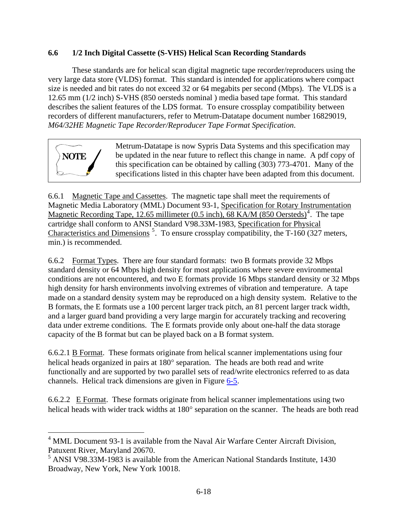# <span id="page-19-0"></span>**6.6 1/2 Inch Digital Cassette (S-VHS) Helical Scan Recording Standards**

 These standards are for helical scan digital magnetic tape recorder/reproducers using the very large data store (VLDS) format. This standard is intended for applications where compact size is needed and bit rates do not exceed 32 or 64 megabits per second (Mbps). The VLDS is a 12.65 mm (1/2 inch) S-VHS (850 oersteds nominal ) media based tape format. This standard describes the salient features of the LDS format. To ensure crossplay compatibility between recorders of different manufacturers, refer to Metrum-Datatape document number 16829019, *M64/32HE Magnetic Tape Recorder/Reproducer Tape Format Specification*.

**NOTE** Metrum-Datatape is now Sypris Data Systems and this specification may be updated in the near future to reflect this change in name. A pdf copy of this specification can be obtained by calling (303) 773-4701. Many of the specifications listed in this chapter have been adapted from this document.

6.6.1 Magnetic Tape and Cassettes. The magnetic tape shall meet the requirements of Magnetic Media Laboratory (MML) Document 93-1, Specification for Rotary Instrumentation Magnetic Recording Tape, 12.65 millimeter  $(0.5 \text{ inch})$ , 68 KA/M  $(850 \text{ Oersteds})^4$  $(850 \text{ Oersteds})^4$ . The tape cartridge shall conform to ANSI Standard V98.33M-1983, Specification for Physical Characteristics and Dimensions<sup>[5](#page-19-0)</sup>. To ensure crossplay compatibility, the T-160 (327 meters, min.) is recommended.

6.6.2 Format Types. There are four standard formats: two B formats provide 32 Mbps standard density or 64 Mbps high density for most applications where severe environmental conditions are not encountered, and two E formats provide 16 Mbps standard density or 32 Mbps high density for harsh environments involving extremes of vibration and temperature. A tape made on a standard density system may be reproduced on a high density system. Relative to the B formats, the E formats use a 100 percent larger track pitch, an 81 percent larger track width, and a larger guard band providing a very large margin for accurately tracking and recovering data under extreme conditions. The E formats provide only about one-half the data storage capacity of the B format but can be played back on a B format system.

6.6.2.1 B Format. These formats originate from helical scanner implementations using four helical heads organized in pairs at 180° separation. The heads are both read and write functionally and are supported by two parallel sets of read/write electronics referred to as data channels. Helical track dimensions are given in Figure [6-5](#page-20-0).

6.6.2.2 E Format. These formats originate from helical scanner implementations using two helical heads with wider track widths at 180° separation on the scanner. The heads are both read

 $\overline{a}$ 

 $4$  MML Document 93-1 is available from the Naval Air Warfare Center Aircraft Division, Patuxent River, Maryland 20670.

<sup>&</sup>lt;sup>5</sup> ANSI V98.33M-1983 is available from the American National Standards Institute, 1430 Broadway, New York, New York 10018.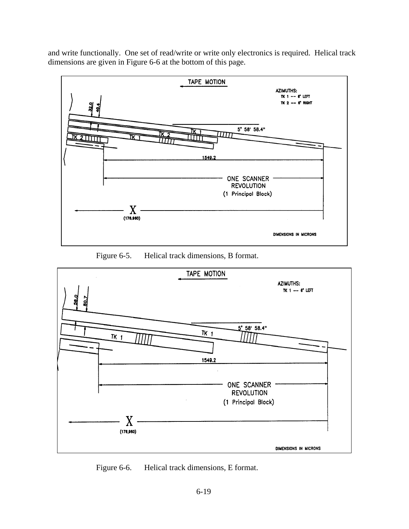<span id="page-20-0"></span>and write functionally. One set of read/write or write only electronics is required. Helical track dimensions are given in Figure 6-6 at the bottom of this page.



Figure 6-5. Helical track dimensions, B format.



Figure 6-6. Helical track dimensions, E format.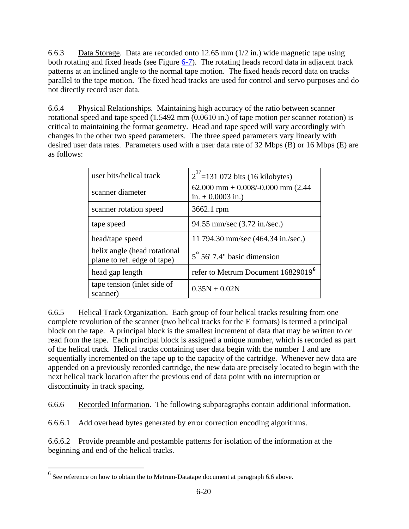<span id="page-21-0"></span>6.6.3 Data Storage. Data are recorded onto 12.65 mm (1/2 in.) wide magnetic tape using both rotating and fixed heads (see Figure [6-7\)](#page-24-0). The rotating heads record data in adjacent track patterns at an inclined angle to the normal tape motion. The fixed heads record data on tracks parallel to the tape motion. The fixed head tracks are used for control and servo purposes and do not directly record user data.

6.6.4 Physical Relationships. Maintaining high accuracy of the ratio between scanner rotational speed and tape speed (1.5492 mm (0.0610 in.) of tape motion per scanner rotation) is critical to maintaining the format geometry. Head and tape speed will vary accordingly with changes in the other two speed parameters. The three speed parameters vary linearly with desired user data rates. Parameters used with a user data rate of 32 Mbps (B) or 16 Mbps (E) are as follows:

| user bits/helical track                                     | $2^{17}$ =131 072 bits (16 kilobytes)                     |
|-------------------------------------------------------------|-----------------------------------------------------------|
| scanner diameter                                            | $62.000$ mm + 0.008/-0.000 mm (2.44<br>in. $+0.0003$ in.) |
| scanner rotation speed                                      | 3662.1 rpm                                                |
| tape speed                                                  | 94.55 mm/sec (3.72 in./sec.)                              |
| head/tape speed                                             | 11 794.30 mm/sec (464.34 in./sec.)                        |
| helix angle (head rotational<br>plane to ref. edge of tape) | $5^{\circ}$ 56' 7.4" basic dimension                      |
| head gap length                                             | refer to Metrum Document 16829019 <sup>6</sup>            |
| tape tension (inlet side of<br>scanner)                     | $0.35N \pm 0.02N$                                         |

6.6.5 Helical Track Organization. Each group of four helical tracks resulting from one complete revolution of the scanner (two helical tracks for the E formats) is termed a principal block on the tape. A principal block is the smallest increment of data that may be written to or read from the tape. Each principal block is assigned a unique number, which is recorded as part of the helical track. Helical tracks containing user data begin with the number 1 and are sequentially incremented on the tape up to the capacity of the cartridge. Whenever new data are appended on a previously recorded cartridge, the new data are precisely located to begin with the next helical track location after the previous end of data point with no interruption or discontinuity in track spacing.

6.6.6 Recorded Information. The following subparagraphs contain additional information.

6.6.6.1 Add overhead bytes generated by error correction encoding algorithms.

6.6.6.2 Provide preamble and postamble patterns for isolation of the information at the beginning and end of the helical tracks.

 $\overline{a}$ 

 $<sup>6</sup>$  See reference on how to obtain the to Metrum-Datatape document at paragraph 6.6 above.</sup>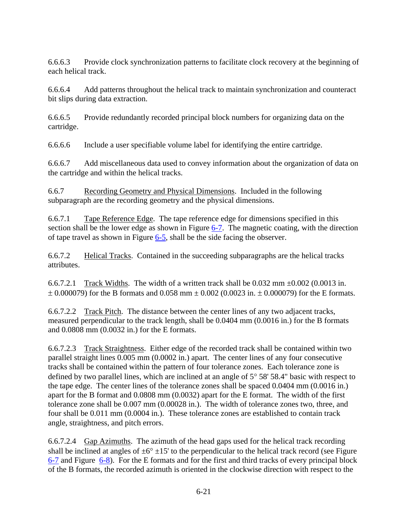6.6.6.3 Provide clock synchronization patterns to facilitate clock recovery at the beginning of each helical track.

6.6.6.4 Add patterns throughout the helical track to maintain synchronization and counteract bit slips during data extraction.

6.6.6.5 Provide redundantly recorded principal block numbers for organizing data on the cartridge.

6.6.6.6 Include a user specifiable volume label for identifying the entire cartridge.

6.6.6.7 Add miscellaneous data used to convey information about the organization of data on the cartridge and within the helical tracks.

6.6.7 Recording Geometry and Physical Dimensions. Included in the following subparagraph are the recording geometry and the physical dimensions.

6.6.7.1 Tape Reference Edge. The tape reference edge for dimensions specified in this section shall be the lower edge as shown in Figure [6-7.](#page-24-0) The magnetic coating, with the direction of tape travel as shown in Figure  $6-5$ , shall be the side facing the observer.

6.6.7.2 Helical Tracks. Contained in the succeeding subparagraphs are the helical tracks attributes.

6.6.7.2.1 Track Widths. The width of a written track shall be  $0.032$  mm  $\pm 0.002$  (0.0013 in.  $\pm$  0.000079) for the B formats and 0.058 mm  $\pm$  0.002 (0.0023 in.  $\pm$  0.000079) for the E formats.

6.6.7.2.2 Track Pitch. The distance between the center lines of any two adjacent tracks, measured perpendicular to the track length, shall be 0.0404 mm (0.0016 in.) for the B formats and 0.0808 mm (0.0032 in.) for the E formats.

6.6.7.2.3 Track Straightness. Either edge of the recorded track shall be contained within two parallel straight lines 0.005 mm (0.0002 in.) apart. The center lines of any four consecutive tracks shall be contained within the pattern of four tolerance zones. Each tolerance zone is defined by two parallel lines, which are inclined at an angle of  $5^{\circ} 58' 58.4"$  basic with respect to the tape edge. The center lines of the tolerance zones shall be spaced 0.0404 mm (0.0016 in.) apart for the B format and 0.0808 mm (0.0032) apart for the E format. The width of the first tolerance zone shall be 0.007 mm (0.00028 in.). The width of tolerance zones two, three, and four shall be 0.011 mm (0.0004 in.). These tolerance zones are established to contain track angle, straightness, and pitch errors.

6.6.7.2.4 Gap Azimuths. The azimuth of the head gaps used for the helical track recording shall be inclined at angles of  $\pm 6^{\circ} \pm 15'$  to the perpendicular to the helical track record (see Figure [6-7](#page-24-0) and Figure [6-8\)](#page-25-0). For the E formats and for the first and third tracks of every principal block of the B formats, the recorded azimuth is oriented in the clockwise direction with respect to the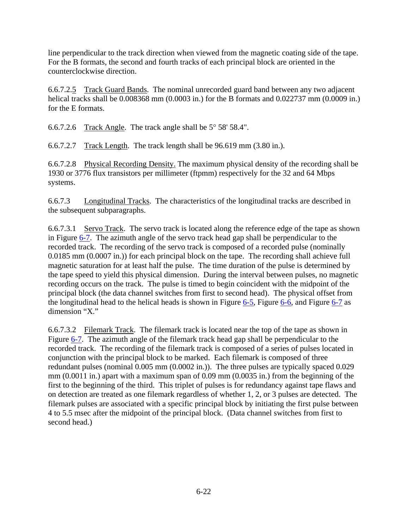line perpendicular to the track direction when viewed from the magnetic coating side of the tape. For the B formats, the second and fourth tracks of each principal block are oriented in the counterclockwise direction.

6.6.7.2.5 Track Guard Bands. The nominal unrecorded guard band between any two adjacent helical tracks shall be 0.008368 mm (0.0003 in.) for the B formats and 0.022737 mm (0.0009 in.) for the E formats.

6.6.7.2.6 Track Angle. The track angle shall be 5° 58' 58.4".

6.6.7.2.7 Track Length. The track length shall be 96.619 mm (3.80 in.).

6.6.7.2.8 Physical Recording Density. The maximum physical density of the recording shall be 1930 or 3776 flux transistors per millimeter (ftpmm) respectively for the 32 and 64 Mbps systems.

6.6.7.3 Longitudinal Tracks. The characteristics of the longitudinal tracks are described in the subsequent subparagraphs.

6.6.7.3.1 Servo Track. The servo track is located along the reference edge of the tape as shown in Figure [6-7.](#page-24-0) The azimuth angle of the servo track head gap shall be perpendicular to the recorded track. The recording of the servo track is composed of a recorded pulse (nominally 0.0185 mm (0.0007 in.)) for each principal block on the tape. The recording shall achieve full magnetic saturation for at least half the pulse. The time duration of the pulse is determined by the tape speed to yield this physical dimension. During the interval between pulses, no magnetic recording occurs on the track. The pulse is timed to begin coincident with the midpoint of the principal block (the data channel switches from first to second head). The physical offset from the longitudinal head to the helical heads is shown in Figure [6-5,](#page-20-0) Figure [6-6,](#page-20-0) and Figure [6-7](#page-24-0) as dimension "X."

6.6.7.3.2 Filemark Track. The filemark track is located near the top of the tape as shown in Figure [6-7](#page-24-0). The azimuth angle of the filemark track head gap shall be perpendicular to the recorded track. The recording of the filemark track is composed of a series of pulses located in conjunction with the principal block to be marked. Each filemark is composed of three redundant pulses (nominal 0.005 mm (0.0002 in.)). The three pulses are typically spaced 0.029 mm (0.0011 in.) apart with a maximum span of 0.09 mm (0.0035 in.) from the beginning of the first to the beginning of the third. This triplet of pulses is for redundancy against tape flaws and on detection are treated as one filemark regardless of whether 1, 2, or 3 pulses are detected. The filemark pulses are associated with a specific principal block by initiating the first pulse between 4 to 5.5 msec after the midpoint of the principal block. (Data channel switches from first to second head.)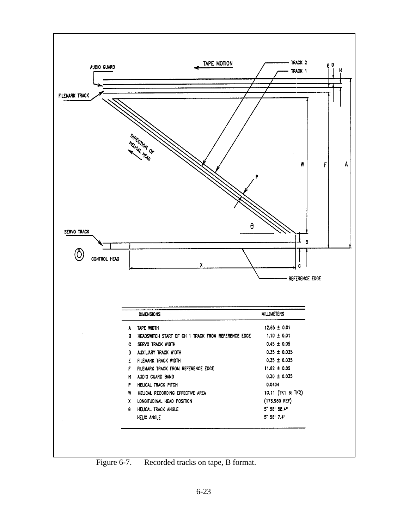<span id="page-24-0"></span>

Figure 6-7. Recorded tracks on tape, B format.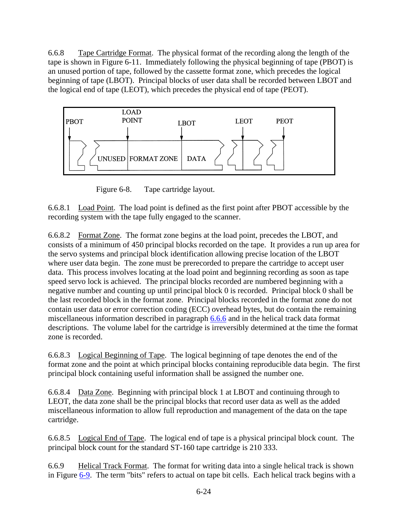<span id="page-25-0"></span>6.6.8 Tape Cartridge Format. The physical format of the recording along the length of the tape is shown in Figure 6-11. Immediately following the physical beginning of tape (PBOT) is an unused portion of tape, followed by the cassette format zone, which precedes the logical beginning of tape (LBOT). Principal blocks of user data shall be recorded between LBOT and the logical end of tape (LEOT), which precedes the physical end of tape (PEOT).



Figure 6-8. Tape cartridge layout.

6.6.8.1 Load Point. The load point is defined as the first point after PBOT accessible by the recording system with the tape fully engaged to the scanner.

6.6.8.2 Format Zone. The format zone begins at the load point, precedes the LBOT, and consists of a minimum of 450 principal blocks recorded on the tape. It provides a run up area for the servo systems and principal block identification allowing precise location of the LBOT where user data begin. The zone must be prerecorded to prepare the cartridge to accept user data. This process involves locating at the load point and beginning recording as soon as tape speed servo lock is achieved. The principal blocks recorded are numbered beginning with a negative number and counting up until principal block 0 is recorded. Principal block 0 shall be the last recorded block in the format zone. Principal blocks recorded in the format zone do not contain user data or error correction coding (ECC) overhead bytes, but do contain the remaining miscellaneous information described in paragraph [6.6.6](#page-21-0) and in the helical track data format descriptions. The volume label for the cartridge is irreversibly determined at the time the format zone is recorded.

6.6.8.3 Logical Beginning of Tape. The logical beginning of tape denotes the end of the format zone and the point at which principal blocks containing reproducible data begin. The first principal block containing useful information shall be assigned the number one.

6.6.8.4 Data Zone. Beginning with principal block 1 at LBOT and continuing through to LEOT, the data zone shall be the principal blocks that record user data as well as the added miscellaneous information to allow full reproduction and management of the data on the tape cartridge.

6.6.8.5 Logical End of Tape. The logical end of tape is a physical principal block count. The principal block count for the standard ST-160 tape cartridge is 210 333.

6.6.9 Helical Track Format. The format for writing data into a single helical track is shown in Figure [6-9.](#page-26-0) The term "bits" refers to actual on tape bit cells. Each helical track begins with a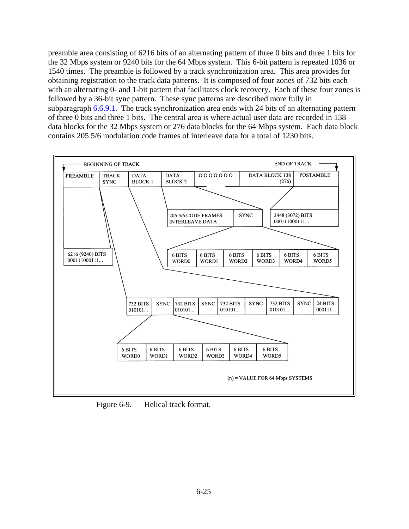<span id="page-26-0"></span>preamble area consisting of 6216 bits of an alternating pattern of three 0 bits and three 1 bits for the 32 Mbps system or 9240 bits for the 64 Mbps system. This 6-bit pattern is repeated 1036 or 1540 times. The preamble is followed by a track synchronization area. This area provides for obtaining registration to the track data patterns. It is composed of four zones of 732 bits each with an alternating 0- and 1-bit pattern that facilitates clock recovery. Each of these four zones is followed by a 36-bit sync pattern. These sync patterns are described more fully in subparagraph [6.6.9.1.](#page-27-0) The track synchronization area ends with 24 bits of an alternating pattern of three 0 bits and three 1 bits. The central area is where actual user data are recorded in 138 data blocks for the 32 Mbps system or 276 data blocks for the 64 Mbps system. Each data block contains 205 5/6 modulation code frames of interleave data for a total of 1230 bits.



Figure 6-9. Helical track format.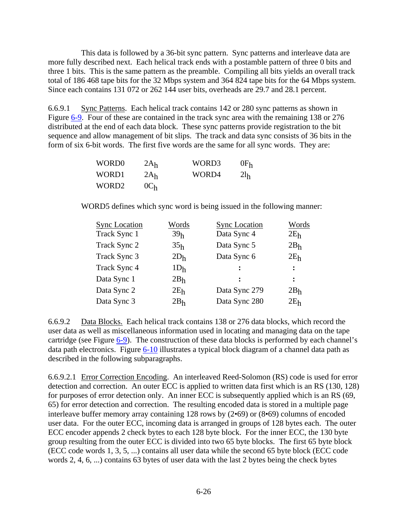<span id="page-27-0"></span>This data is followed by a 36-bit sync pattern. Sync patterns and interleave data are more fully described next. Each helical track ends with a postamble pattern of three 0 bits and three 1 bits. This is the same pattern as the preamble. Compiling all bits yields an overall track total of 186 468 tape bits for the 32 Mbps system and 364 824 tape bits for the 64 Mbps system. Since each contains 131 072 or 262 144 user bits, overheads are 29.7 and 28.1 percent.

6.6.9.1 Sync Patterns. Each helical track contains 142 or 280 sync patterns as shown in Figure [6-9](#page-26-0). Four of these are contained in the track sync area with the remaining 138 or 276 distributed at the end of each data block. These sync patterns provide registration to the bit sequence and allow management of bit slips. The track and data sync consists of 36 bits in the form of six 6-bit words. The first five words are the same for all sync words. They are:

| WORD <sub>0</sub> | 2A <sub>h</sub> | WORD3 | $0F_h$          |
|-------------------|-----------------|-------|-----------------|
| WORD1             | 2A <sub>h</sub> | WORD4 | 2l <sub>h</sub> |
| WORD <sub>2</sub> | 0C <sub>h</sub> |       |                 |

WORD5 defines which sync word is being issued in the following manner:

| <b>Sync Location</b> | Words           | <b>Sync Location</b> | Words           |
|----------------------|-----------------|----------------------|-----------------|
| Track Sync 1         | 39 <sub>h</sub> | Data Sync 4          | 2E <sub>h</sub> |
| Track Sync 2         | 35 <sub>h</sub> | Data Sync 5          | 2B <sub>h</sub> |
| Track Sync 3         | 2D <sub>h</sub> | Data Sync 6          | 2E <sub>h</sub> |
| Track Sync 4         | 1D <sub>h</sub> | $\ddot{\cdot}$       | $\ddot{\cdot}$  |
| Data Sync 1          | 2B <sub>h</sub> |                      | $\ddot{\cdot}$  |
| Data Sync 2          | 2E <sub>h</sub> | Data Sync 279        | 2B <sub>h</sub> |
| Data Sync 3          | 2B <sub>h</sub> | Data Sync 280        | 2E <sub>h</sub> |
|                      |                 |                      |                 |

6.6.9.2 Data Blocks. Each helical track contains 138 or 276 data blocks, which record the user data as well as miscellaneous information used in locating and managing data on the tape cartridge (see Figure [6-9](#page-26-0)). The construction of these data blocks is performed by each channel's data path electronics. Figure [6-10](#page-28-0) illustrates a typical block diagram of a channel data path as described in the following subparagraphs.

6.6.9.2.1 Error Correction Encoding. An interleaved Reed-Solomon (RS) code is used for error detection and correction. An outer ECC is applied to written data first which is an RS (130, 128) for purposes of error detection only. An inner ECC is subsequently applied which is an RS (69, 65) for error detection and correction. The resulting encoded data is stored in a multiple page interleave buffer memory array containing 128 rows by (2•69) or (8•69) columns of encoded user data. For the outer ECC, incoming data is arranged in groups of 128 bytes each. The outer ECC encoder appends 2 check bytes to each 128 byte block. For the inner ECC, the 130 byte group resulting from the outer ECC is divided into two 65 byte blocks. The first 65 byte block (ECC code words 1, 3, 5, ...) contains all user data while the second 65 byte block (ECC code words 2, 4, 6, ...) contains 63 bytes of user data with the last 2 bytes being the check bytes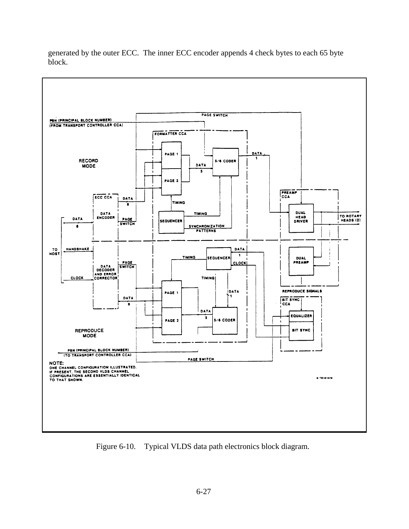<span id="page-28-0"></span>generated by the outer ECC. The inner ECC encoder appends 4 check bytes to each 65 byte block.



Figure 6-10. Typical VLDS data path electronics block diagram.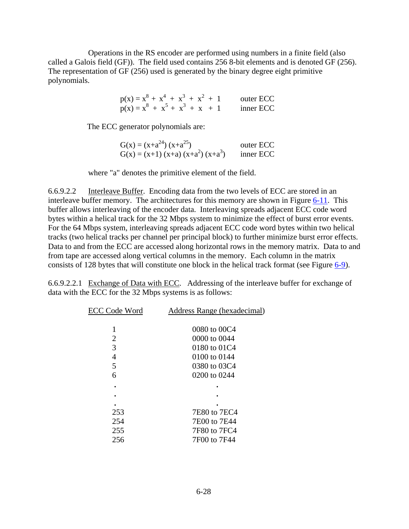Operations in the RS encoder are performed using numbers in a finite field (also called a Galois field (GF)). The field used contains 256 8-bit elements and is denoted GF (256). The representation of GF (256) used is generated by the binary degree eight primitive polynomials.

| $p(x) = x^8 + x^4 + x^3 + x^2 + 1$ |  |  | outer ECC |
|------------------------------------|--|--|-----------|
| $p(x) = x^8 + x^5 + x^3 + x + 1$   |  |  | inner ECC |

The ECC generator polynomials are:

| $G(x) = (x+a^{24})(x+a^{25})$      | outer ECC |
|------------------------------------|-----------|
| $G(x) = (x+1) (x+a) (x+a2) (x+a3)$ | inner ECC |

where "a" denotes the primitive element of the field.

6.6.9.2.2 Interleave Buffer. Encoding data from the two levels of ECC are stored in an interleave buffer memory. The architectures for this memory are shown in Figure  $6-11$ . This buffer allows interleaving of the encoder data. Interleaving spreads adjacent ECC code word bytes within a helical track for the 32 Mbps system to minimize the effect of burst error events. For the 64 Mbps system, interleaving spreads adjacent ECC code word bytes within two helical tracks (two helical tracks per channel per principal block) to further minimize burst error effects. Data to and from the ECC are accessed along horizontal rows in the memory matrix. Data to and from tape are accessed along vertical columns in the memory. Each column in the matrix consists of 128 bytes that will constitute one block in the helical track format (see Figure [6-9](#page-26-0)).

6.6.9.2.2.1 Exchange of Data with ECC. Addressing of the interleave buffer for exchange of data with the ECC for the 32 Mbps systems is as follows:

| <b>ECC Code Word</b> | Address Range (hexadecimal) |
|----------------------|-----------------------------|
|                      | 0080 to 00C4                |
| 2                    | 0000 to 0044                |
| 3                    | 0180 to 01C4                |
| 4                    | 0100 to 0144                |
| 5                    | 0380 to 03C4                |
| 6                    | 0200 to 0244                |
|                      |                             |
|                      |                             |
|                      |                             |
| 253                  | 7E80 to 7EC4                |
| 254                  | 7E00 to 7E44                |
| 255                  | 7F80 to 7FC4                |
| 256                  | 7F00 to 7F44                |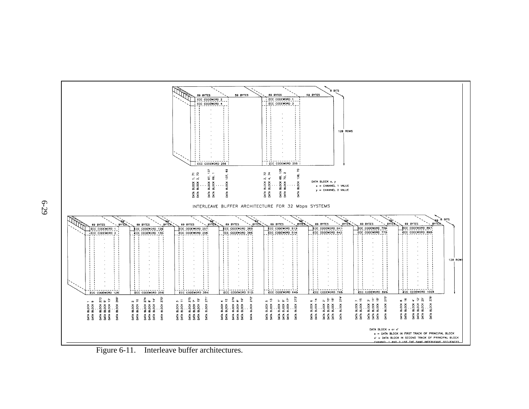

<span id="page-30-0"></span>Figure 6-11. Interleave buffer architectures.

6-29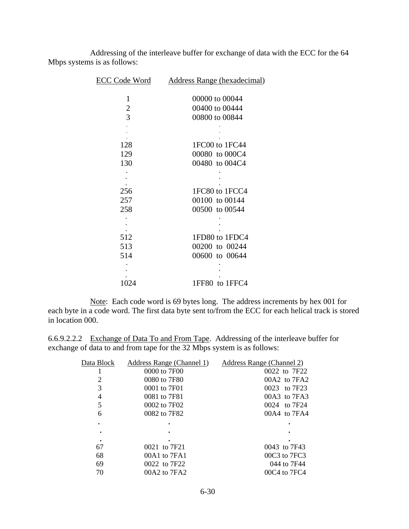Addressing of the interleave buffer for exchange of data with the ECC for the 64 Mbps systems is as follows:

| <b>ECC Code Word</b> | <b>Address Range (hexadecimal)</b> |
|----------------------|------------------------------------|
|                      |                                    |
| 1                    | 00000 to 00044                     |
| $\overline{2}$       | 00400 to 00444                     |
| $\overline{3}$       | 00800 to 00844                     |
|                      |                                    |
|                      |                                    |
| 128                  | 1FC00 to 1FC44                     |
| 129                  | 00080 to 000C4                     |
| 130                  | 00480 to 004C4                     |
|                      |                                    |
|                      |                                    |
| 256                  | 1FC80 to 1FCC4                     |
| 257                  | 00100 to 00144                     |
| 258                  | 00500 to 00544                     |
|                      |                                    |
|                      |                                    |
| 512                  | 1FD80 to 1FDC4                     |
| 513                  | 00200 to 00244                     |
| 514                  | 00600 to 00644                     |
|                      |                                    |
|                      |                                    |
| 1024                 | 1FF80 to 1FFC4                     |

Note: Each code word is 69 bytes long. The address increments by hex 001 for each byte in a code word. The first data byte sent to/from the ECC for each helical track is stored in location 000.

6.6.9.2.2.2 Exchange of Data To and From Tape. Addressing of the interleave buffer for exchange of data to and from tape for the 32 Mbps system is as follows:

| Data Block | Address Range (Channel 1) | Address Range (Channel 2) |
|------------|---------------------------|---------------------------|
|            | 0000 to 7F00              | 0022 to 7F22              |
| 2          | 0080 to 7F80              | $00A2$ to $7FA2$          |
| 3          | 0001 to 7F01              | 0023 to 7F23              |
| 4          | 0081 to 7F81              | $00A3$ to $7FA3$          |
| 5          | 0002 to 7F02              | 0024 to 7F24              |
| 6          | 0082 to 7F82              | $00A4$ to $7FA4$          |
|            |                           |                           |
|            |                           |                           |
|            |                           |                           |
| 67         | 0021 to 7F21              | 0043 to 7F43              |
| 68         | 00A1 to 7FA1              | $00C3$ to $7FC3$          |
| 69         | 0022 to 7F22              | 044 to 7F44               |
| 70         | 00A2 to 7FA2              | $00C4$ to $7FC4$          |
|            |                           |                           |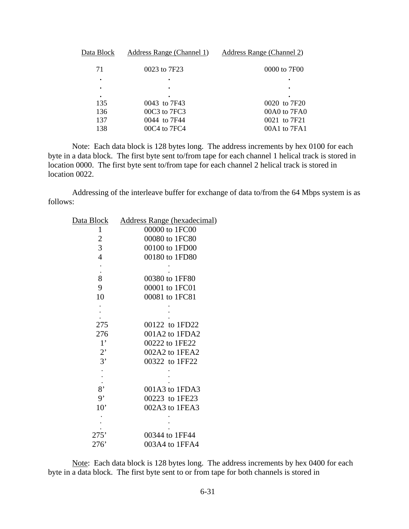| Data Block | Address Range (Channel 1) | Address Range (Channel 2) |
|------------|---------------------------|---------------------------|
| 71         | 0023 to 7F23              | 0000 to 7F00              |
| ٠          | $\bullet$                 | ٠                         |
| ٠          |                           |                           |
| ٠          |                           |                           |
| 135        | 0043 to 7F43              | 0020 to 7F20              |
| 136        | 00C3 to 7FC3              | 00A0 to 7FA0              |
| 137        | 0044 to 7F44              | 0021 to 7F21              |
| 138        | $00C4$ to $7FC4$          | 00A1 to 7FA1              |
|            |                           |                           |

 Note: Each data block is 128 bytes long. The address increments by hex 0100 for each byte in a data block. The first byte sent to/from tape for each channel 1 helical track is stored in location 0000. The first byte sent to/from tape for each channel 2 helical track is stored in location 0022.

 Addressing of the interleave buffer for exchange of data to/from the 64 Mbps system is as follows:

| Data Block     | <b>Address Range (hexadecimal)</b> |
|----------------|------------------------------------|
| 1              | 00000 to 1FC00                     |
|                | 00080 to 1FC80                     |
| $\frac{2}{3}$  | 00100 to 1FD00                     |
| $\overline{4}$ | 00180 to 1FD80                     |
|                |                                    |
|                |                                    |
| 8              | 00380 to 1FF80                     |
| 9              | 00001 to 1FC01                     |
| 10             | 00081 to 1FC81                     |
|                |                                    |
|                |                                    |
| 275            | 00122 to 1FD22                     |
| 276            | 001A2 to 1FDA2                     |
| $1^{\circ}$    | 00222 to 1FE22                     |
| 2'             | 002A2 to 1FEA2                     |
| 3'             | 00322 to 1FF22                     |
|                |                                    |
|                |                                    |
| 8'             | 001A3 to 1FDA3                     |
| $\overline{9}$ | 00223 to 1FE23                     |
| 10'            | 002A3 to 1FEA3                     |
|                |                                    |
|                |                                    |
| 275'           | 00344 to 1FF44                     |
| 276'           | 003A4 to 1FFA4                     |

Note: Each data block is 128 bytes long. The address increments by hex 0400 for each byte in a data block. The first byte sent to or from tape for both channels is stored in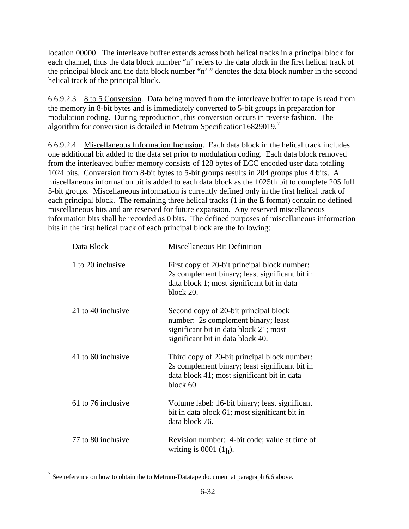<span id="page-33-0"></span>location 00000. The interleave buffer extends across both helical tracks in a principal block for each channel, thus the data block number "n" refers to the data block in the first helical track of the principal block and the data block number "n' " denotes the data block number in the second helical track of the principal block.

6.6.9.2.3 8 to 5 Conversion. Data being moved from the interleave buffer to tape is read from the memory in 8-bit bytes and is immediately converted to 5-bit groups in preparation for modulation coding. During reproduction, this conversion occurs in reverse fashion. The algorithm for conversion is detailed in Metrum Specification16829019.<sup>[7](#page-33-0)</sup>

6.6.9.2.4 Miscellaneous Information Inclusion. Each data block in the helical track includes one additional bit added to the data set prior to modulation coding. Each data block removed from the interleaved buffer memory consists of 128 bytes of ECC encoded user data totaling 1024 bits. Conversion from 8-bit bytes to 5-bit groups results in 204 groups plus 4 bits. A miscellaneous information bit is added to each data block as the 1025th bit to complete 205 full 5-bit groups. Miscellaneous information is currently defined only in the first helical track of each principal block. The remaining three helical tracks (1 in the E format) contain no defined miscellaneous bits and are reserved for future expansion. Any reserved miscellaneous information bits shall be recorded as 0 bits. The defined purposes of miscellaneous information bits in the first helical track of each principal block are the following:

| Data Block         | Miscellaneous Bit Definition                                                                                                                                |
|--------------------|-------------------------------------------------------------------------------------------------------------------------------------------------------------|
| 1 to 20 inclusive  | First copy of 20-bit principal block number:<br>2s complement binary; least significant bit in<br>data block 1; most significant bit in data<br>block 20.   |
| 21 to 40 inclusive | Second copy of 20-bit principal block<br>number: 2s complement binary; least<br>significant bit in data block 21; most<br>significant bit in data block 40. |
| 41 to 60 inclusive | Third copy of 20-bit principal block number:<br>2s complement binary; least significant bit in<br>data block 41; most significant bit in data<br>block 60.  |
| 61 to 76 inclusive | Volume label: 16-bit binary; least significant<br>bit in data block 61; most significant bit in<br>data block 76.                                           |
| 77 to 80 inclusive | Revision number: 4-bit code; value at time of<br>writing is 0001 $(1_h)$ .                                                                                  |

<sup>&</sup>lt;sup>7</sup> See reference on how to obtain the to Metrum-Datatape document at paragraph 6.6 above.

 $\overline{a}$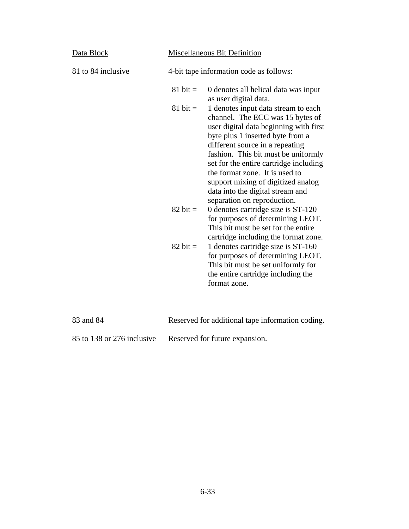| Data Block         |                    | <b>Miscellaneous Bit Definition</b>                                                                                                                                                                                                                                                                                                                                                                                  |
|--------------------|--------------------|----------------------------------------------------------------------------------------------------------------------------------------------------------------------------------------------------------------------------------------------------------------------------------------------------------------------------------------------------------------------------------------------------------------------|
| 81 to 84 inclusive |                    | 4-bit tape information code as follows:                                                                                                                                                                                                                                                                                                                                                                              |
|                    | $81 \text{ bit} =$ | 0 denotes all helical data was input<br>as user digital data.                                                                                                                                                                                                                                                                                                                                                        |
|                    | $81 \text{ bit} =$ | 1 denotes input data stream to each<br>channel. The ECC was 15 bytes of<br>user digital data beginning with first<br>byte plus 1 inserted byte from a<br>different source in a repeating<br>fashion. This bit must be uniformly<br>set for the entire cartridge including<br>the format zone. It is used to<br>support mixing of digitized analog<br>data into the digital stream and<br>separation on reproduction. |
|                    | $82 \text{ bit} =$ | 0 denotes cartridge size is ST-120<br>for purposes of determining LEOT.<br>This bit must be set for the entire                                                                                                                                                                                                                                                                                                       |
|                    | $82 \text{ bit} =$ | cartridge including the format zone.<br>1 denotes cartridge size is ST-160<br>for purposes of determining LEOT.<br>This bit must be set uniformly for<br>the entire cartridge including the<br>format zone.                                                                                                                                                                                                          |

| 83 and 84                    | Reserved for additional tape information coding. |
|------------------------------|--------------------------------------------------|
| $85$ to 138 or 276 inclusive | Reserved for future expansion.                   |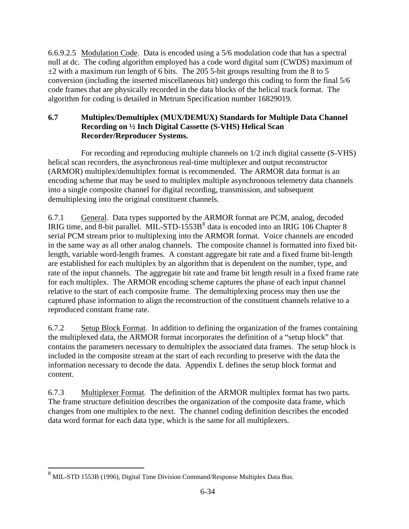<span id="page-35-0"></span>6.6.9.2.5 Modulation Code. Data is encoded using a 5/6 modulation code that has a spectral null at dc. The coding algorithm employed has a code word digital sum (CWDS) maximum of  $\pm$ 2 with a maximum run length of 6 bits. The 205 5-bit groups resulting from the 8 to 5 conversion (including the inserted miscellaneous bit) undergo this coding to form the final 5/6 code frames that are physically recorded in the data blocks of the helical track format. The algorithm for coding is detailed in Metrum Specification number 16829019.

## **6.7 Multiplex/Demultiplex (MUX/DEMUX) Standards for Multiple Data Channel Recording on ½ Inch Digital Cassette (S-VHS) Helical Scan Recorder/Reproducer Systems.**

 For recording and reproducing multiple channels on 1/2 inch digital cassette (S-VHS) helical scan recorders, the asynchronous real-time multiplexer and output reconstructor (ARMOR) multiplex/demultiplex format is recommended. The ARMOR data format is an encoding scheme that may be used to multiplex multiple asynchronous telemetry data channels into a single composite channel for digital recording, transmission, and subsequent demultiplexing into the original constituent channels.

6.7.1 General. Data types supported by the ARMOR format are PCM, analog, decoded IRIG time, and [8](#page-35-0)-bit parallel. MIL-STD-1553B $^8$  data is encoded into an IRIG 106 Chapter 8 serial PCM stream prior to multiplexing into the ARMOR format. Voice channels are encoded in the same way as all other analog channels. The composite channel is formatted into fixed bitlength, variable word-length frames. A constant aggregate bit rate and a fixed frame bit-length are established for each multiplex by an algorithm that is dependent on the number, type, and rate of the input channels. The aggregate bit rate and frame bit length result in a fixed frame rate for each multiplex. The ARMOR encoding scheme captures the phase of each input channel relative to the start of each composite frame. The demultiplexing process may then use the captured phase information to align the reconstruction of the constituent channels relative to a reproduced constant frame rate.

6.7.2 Setup Block Format. In addition to defining the organization of the frames containing the multiplexed data, the ARMOR format incorporates the definition of a "setup block" that contains the parameters necessary to demultiplex the associated data frames. The setup block is included in the composite stream at the start of each recording to preserve with the data the information necessary to decode the data. Appendix L defines the setup block format and content.

6.7.3 Multiplexer Format. The definition of the ARMOR multiplex format has two parts. The frame structure definition describes the organization of the composite data frame, which changes from one multiplex to the next. The channel coding definition describes the encoded data word format for each data type, which is the same for all multiplexers.

 $\overline{a}$ 

 $8 \text{ MIL-STD 1553B (1996), Digital Time Division Command/Response Multiple X Data Bus.}$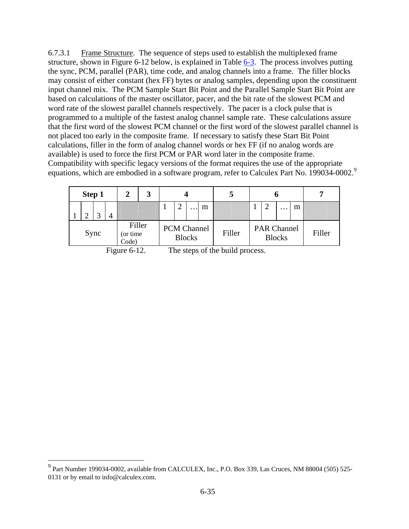<span id="page-36-0"></span>6.7.3.1 Frame Structure. The sequence of steps used to establish the multiplexed frame structure, shown in Figure 6-12 below, is explained in Table [6-3.](#page-37-0) The process involves putting the sync, PCM, parallel (PAR), time code, and analog channels into a frame. The filler blocks may consist of either constant (hex FF) bytes or analog samples, depending upon the constituent input channel mix. The PCM Sample Start Bit Point and the Parallel Sample Start Bit Point are based on calculations of the master oscillator, pacer, and the bit rate of the slowest PCM and word rate of the slowest parallel channels respectively. The pacer is a clock pulse that is programmed to a multiple of the fastest analog channel sample rate. These calculations assure that the first word of the slowest PCM channel or the first word of the slowest parallel channel is not placed too early in the composite frame. If necessary to satisfy these Start Bit Point calculations, filler in the form of analog channel words or hex FF (if no analog words are available) is used to force the first PCM or PAR word later in the composite frame. Compatibility with specific legacy versions of the format requires the use of the appropriate equations, which are embodied in a software program, refer to Calculex Part No. 1[9](#page-36-0)9034-0002.<sup>9</sup>

| Step 1 |              | 2                            | 3 |                    |               |   |        |                    |               |   |        |
|--------|--------------|------------------------------|---|--------------------|---------------|---|--------|--------------------|---------------|---|--------|
|        | $\mathbf{c}$ |                              |   | ◠                  | .             | m |        | ി                  | $\cdot$       | m |        |
|        | Sync         | Filler<br>(or time)<br>Code) |   | <b>PCM Channel</b> | <b>Blocks</b> |   | Filler | <b>PAR Channel</b> | <b>Blocks</b> |   | Filler |

 $\overline{a}$ 

Figure 6-12. The steps of the build process.

<sup>&</sup>lt;sup>9</sup> Part Number 199034-0002, available from CALCULEX, Inc., P.O. Box 339, Las Cruces, NM 88004 (505) 525-0131 or by email to info@calculex.com.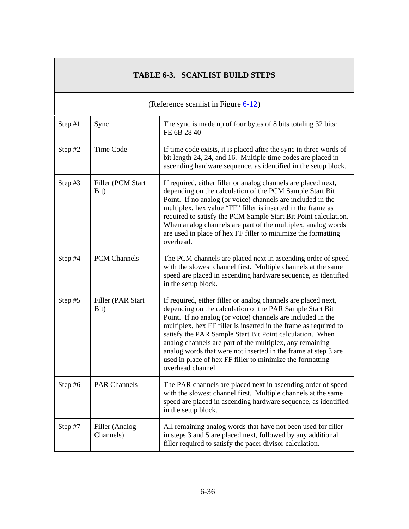|           | <b>TABLE 6-3. SCANLIST BUILD STEPS</b> |                                                                                                                                                                                                                                                                                                                                                                                                                                                                                                                                           |  |  |  |  |  |
|-----------|----------------------------------------|-------------------------------------------------------------------------------------------------------------------------------------------------------------------------------------------------------------------------------------------------------------------------------------------------------------------------------------------------------------------------------------------------------------------------------------------------------------------------------------------------------------------------------------------|--|--|--|--|--|
|           |                                        | (Reference scanlist in Figure $6-12$ )                                                                                                                                                                                                                                                                                                                                                                                                                                                                                                    |  |  |  |  |  |
| Step #1   | Sync                                   | The sync is made up of four bytes of 8 bits totaling 32 bits:<br>FE 6B 28 40                                                                                                                                                                                                                                                                                                                                                                                                                                                              |  |  |  |  |  |
| Step $#2$ | <b>Time Code</b>                       | If time code exists, it is placed after the sync in three words of<br>bit length 24, 24, and 16. Multiple time codes are placed in<br>ascending hardware sequence, as identified in the setup block.                                                                                                                                                                                                                                                                                                                                      |  |  |  |  |  |
| Step $#3$ | Filler (PCM Start<br>Bit)              | If required, either filler or analog channels are placed next,<br>depending on the calculation of the PCM Sample Start Bit<br>Point. If no analog (or voice) channels are included in the<br>multiplex, hex value "FF" filler is inserted in the frame as<br>required to satisfy the PCM Sample Start Bit Point calculation.<br>When analog channels are part of the multiplex, analog words<br>are used in place of hex FF filler to minimize the formatting<br>overhead.                                                                |  |  |  |  |  |
| Step #4   | <b>PCM Channels</b>                    | The PCM channels are placed next in ascending order of speed<br>with the slowest channel first. Multiple channels at the same<br>speed are placed in ascending hardware sequence, as identified<br>in the setup block.                                                                                                                                                                                                                                                                                                                    |  |  |  |  |  |
| Step #5   | Filler (PAR Start<br>Bit)              | If required, either filler or analog channels are placed next,<br>depending on the calculation of the PAR Sample Start Bit<br>Point. If no analog (or voice) channels are included in the<br>multiplex, hex FF filler is inserted in the frame as required to<br>satisfy the PAR Sample Start Bit Point calculation. When<br>analog channels are part of the multiplex, any remaining<br>analog words that were not inserted in the frame at step 3 are<br>used in place of hex FF filler to minimize the formatting<br>overhead channel. |  |  |  |  |  |
| Step $#6$ | <b>PAR Channels</b>                    | The PAR channels are placed next in ascending order of speed<br>with the slowest channel first. Multiple channels at the same<br>speed are placed in ascending hardware sequence, as identified<br>in the setup block.                                                                                                                                                                                                                                                                                                                    |  |  |  |  |  |
| Step $#7$ | Filler (Analog<br>Channels)            | All remaining analog words that have not been used for filler<br>in steps 3 and 5 are placed next, followed by any additional<br>filler required to satisfy the pacer divisor calculation.                                                                                                                                                                                                                                                                                                                                                |  |  |  |  |  |

<span id="page-37-0"></span> $\Gamma$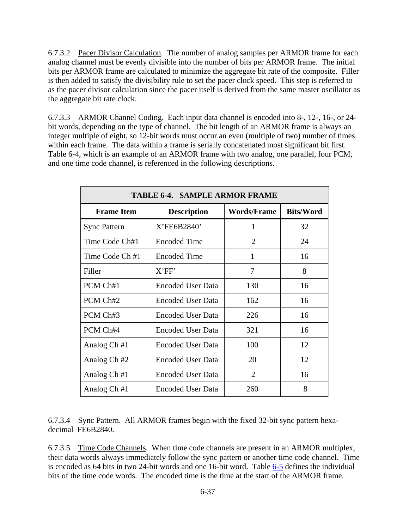<span id="page-38-0"></span>6.7.3.2 Pacer Divisor Calculation. The number of analog samples per ARMOR frame for each analog channel must be evenly divisible into the number of bits per ARMOR frame. The initial bits per ARMOR frame are calculated to minimize the aggregate bit rate of the composite. Filler is then added to satisfy the divisibility rule to set the pacer clock speed. This step is referred to as the pacer divisor calculation since the pacer itself is derived from the same master oscillator as the aggregate bit rate clock.

6.7.3.3 ARMOR Channel Coding. Each input data channel is encoded into 8-, 12-, 16-, or 24 bit words, depending on the type of channel. The bit length of an ARMOR frame is always an integer multiple of eight, so 12-bit words must occur an even (multiple of two) number of times within each frame. The data within a frame is serially concatenated most significant bit first. Table 6-4, which is an example of an ARMOR frame with two analog, one parallel, four PCM, and one time code channel, is referenced in the following descriptions.

| <b>TABLE 6-4. SAMPLE ARMOR FRAME</b>                                              |                          |                |    |  |  |  |  |  |
|-----------------------------------------------------------------------------------|--------------------------|----------------|----|--|--|--|--|--|
| <b>Frame Item</b><br><b>Words/Frame</b><br><b>Bits/Word</b><br><b>Description</b> |                          |                |    |  |  |  |  |  |
| <b>Sync Pattern</b>                                                               | X'FE6B2840'              | 1              | 32 |  |  |  |  |  |
| Time Code Ch#1                                                                    | <b>Encoded Time</b>      | $\overline{2}$ | 24 |  |  |  |  |  |
| Time Code Ch #1                                                                   | <b>Encoded Time</b>      | 1              | 16 |  |  |  |  |  |
| Filler                                                                            | X'FF'                    | 7              | 8  |  |  |  |  |  |
| PCM Ch#1                                                                          | <b>Encoded User Data</b> | 130            | 16 |  |  |  |  |  |
| PCM Ch#2                                                                          | <b>Encoded User Data</b> | 162            | 16 |  |  |  |  |  |
| PCM Ch#3                                                                          | <b>Encoded User Data</b> | 226            | 16 |  |  |  |  |  |
| PCM Ch#4                                                                          | <b>Encoded User Data</b> | 321            | 16 |  |  |  |  |  |
| Analog Ch#1                                                                       | <b>Encoded User Data</b> | 100            | 12 |  |  |  |  |  |
| Analog Ch #2                                                                      | <b>Encoded User Data</b> | 20             | 12 |  |  |  |  |  |
| Analog Ch#1                                                                       | <b>Encoded User Data</b> | $\overline{2}$ | 16 |  |  |  |  |  |
| Analog Ch#1                                                                       | <b>Encoded User Data</b> | 260            | 8  |  |  |  |  |  |

6.7.3.4 Sync Pattern. All ARMOR frames begin with the fixed 32-bit sync pattern hexadecimal FE6B2840.

6.7.3.5 Time Code Channels. When time code channels are present in an ARMOR multiplex, their data words always immediately follow the sync pattern or another time code channel. Time is encoded as 64 bits in two 24-bit words and one 16-bit word. Table [6-5](#page-39-0) defines the individual bits of the time code words. The encoded time is the time at the start of the ARMOR frame.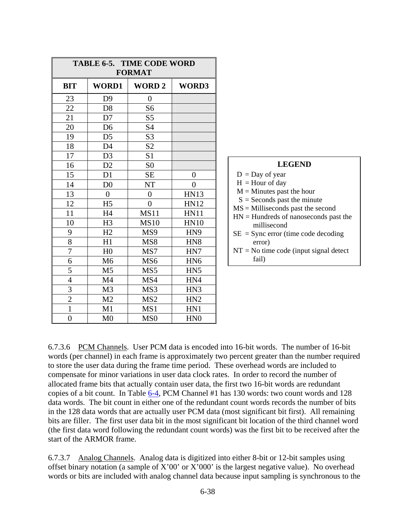<span id="page-39-0"></span>

| <b>TABLE 6-5. TIME CODE WORD</b><br><b>FORMAT</b> |                |                 |                 |  |  |
|---------------------------------------------------|----------------|-----------------|-----------------|--|--|
| <b>BIT</b>                                        | <b>WORD1</b>   | <b>WORD2</b>    | WORD3           |  |  |
| 23                                                | D <sub>9</sub> | $\overline{0}$  |                 |  |  |
| 22                                                | D <sub>8</sub> | S <sub>6</sub>  |                 |  |  |
| 21                                                | D7             | S <sub>5</sub>  |                 |  |  |
| 20                                                | D <sub>6</sub> | S4              |                 |  |  |
| 19                                                | D <sub>5</sub> | S <sub>3</sub>  |                 |  |  |
| 18                                                | D <sub>4</sub> | S <sub>2</sub>  |                 |  |  |
| 17                                                | D <sub>3</sub> | S <sub>1</sub>  |                 |  |  |
| 16                                                | D2             | S <sub>0</sub>  |                 |  |  |
| 15                                                | D1             | <b>SE</b>       | $\overline{0}$  |  |  |
| 14                                                | D <sub>0</sub> | <b>NT</b>       | $\overline{0}$  |  |  |
| 13                                                | $\overline{0}$ | $\overline{0}$  | <b>HN13</b>     |  |  |
| 12                                                | H <sub>5</sub> | $\overline{0}$  | <b>HN12</b>     |  |  |
| 11                                                | H <sub>4</sub> | MS11            | <b>HN11</b>     |  |  |
| 10                                                | H <sub>3</sub> | <b>MS10</b>     | <b>HN10</b>     |  |  |
| 9                                                 | H2             | MS9             | HN <sub>9</sub> |  |  |
| 8                                                 | H1             | MS8             | HN <sub>8</sub> |  |  |
| 7                                                 | H <sub>0</sub> | MS7             | HN7             |  |  |
| 6                                                 | M <sub>6</sub> | MS <sub>6</sub> | HN <sub>6</sub> |  |  |
| 5                                                 | M <sub>5</sub> | MS5             | HN <sub>5</sub> |  |  |
| $\overline{4}$                                    | M <sub>4</sub> | MS4             | HN4             |  |  |
| 3                                                 | M <sub>3</sub> | MS3             | HN <sub>3</sub> |  |  |
| $\overline{c}$                                    | M <sub>2</sub> | MS <sub>2</sub> | HN <sub>2</sub> |  |  |
| $\mathbf{1}$                                      | M1             | MS1             | HN1             |  |  |
| $\overline{0}$                                    | M <sub>0</sub> | MS <sub>0</sub> | HN <sub>0</sub> |  |  |

| <b>LEGEND</b>                            |
|------------------------------------------|
| $D = Day$ of year                        |
| $H =$ Hour of day                        |
| $M =$ Minutes past the hour              |
| $S =$ Seconds past the minute            |
| $MS =$ Milliseconds past the second      |
| $HN = Hundreds$ of nanoseconds past the  |
| millisecond                              |
| $SE =$ Sync error (time code decoding    |
| error)                                   |
| $NT = No$ time code (input signal detect |
| fail)                                    |
|                                          |

6.7.3.6 PCM Channels. User PCM data is encoded into 16-bit words. The number of 16-bit words (per channel) in each frame is approximately two percent greater than the number required to store the user data during the frame time period. These overhead words are included to compensate for minor variations in user data clock rates. In order to record the number of allocated frame bits that actually contain user data, the first two 16-bit words are redundant copies of a bit count. In Table [6-4,](#page-38-0) PCM Channel #1 has 130 words: two count words and 128 data words. The bit count in either one of the redundant count words records the number of bits in the 128 data words that are actually user PCM data (most significant bit first). All remaining bits are filler. The first user data bit in the most significant bit location of the third channel word (the first data word following the redundant count words) was the first bit to be received after the start of the ARMOR frame.

6.7.3.7 Analog Channels. Analog data is digitized into either 8-bit or 12-bit samples using offset binary notation (a sample of X'00' or X'000' is the largest negative value). No overhead words or bits are included with analog channel data because input sampling is synchronous to the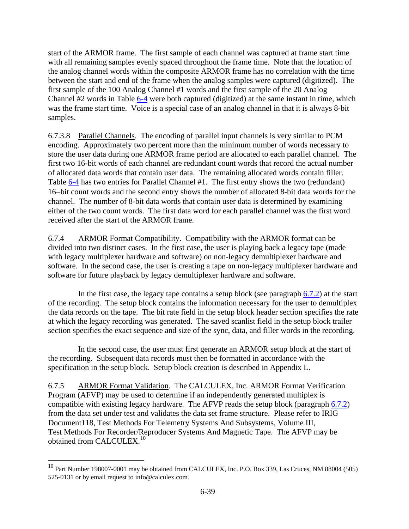<span id="page-40-0"></span>start of the ARMOR frame. The first sample of each channel was captured at frame start time with all remaining samples evenly spaced throughout the frame time. Note that the location of the analog channel words within the composite ARMOR frame has no correlation with the time between the start and end of the frame when the analog samples were captured (digitized). The first sample of the 100 Analog Channel #1 words and the first sample of the 20 Analog Channel #2 words in Table [6-4](#page-38-0) were both captured (digitized) at the same instant in time, which was the frame start time. Voice is a special case of an analog channel in that it is always 8-bit samples.

6.7.3.8 Parallel Channels. The encoding of parallel input channels is very similar to PCM encoding. Approximately two percent more than the minimum number of words necessary to store the user data during one ARMOR frame period are allocated to each parallel channel. The first two 16-bit words of each channel are redundant count words that record the actual number of allocated data words that contain user data. The remaining allocated words contain filler. Table [6-4](#page-38-0) has two entries for Parallel Channel #1. The first entry shows the two (redundant) 16-bit count words and the second entry shows the number of allocated 8-bit data words for the channel. The number of 8-bit data words that contain user data is determined by examining either of the two count words. The first data word for each parallel channel was the first word received after the start of the ARMOR frame.

6.7.4 ARMOR Format Compatibility. Compatibility with the ARMOR format can be divided into two distinct cases. In the first case, the user is playing back a legacy tape (made with legacy multiplexer hardware and software) on non-legacy demultiplexer hardware and software. In the second case, the user is creating a tape on non-legacy multiplexer hardware and software for future playback by legacy demultiplexer hardware and software.

In the first case, the legacy tape contains a setup block (see paragraph  $6.7.2$ ) at the start of the recording. The setup block contains the information necessary for the user to demultiplex the data records on the tape. The bit rate field in the setup block header section specifies the rate at which the legacy recording was generated. The saved scanlist field in the setup block trailer section specifies the exact sequence and size of the sync, data, and filler words in the recording.

 In the second case, the user must first generate an ARMOR setup block at the start of the recording. Subsequent data records must then be formatted in accordance with the specification in the setup block. Setup block creation is described in Appendix L.

6.7.5 ARMOR Format Validation. The CALCULEX, Inc. ARMOR Format Verification Program (AFVP) may be used to determine if an independently generated multiplex is compatible with existing legacy hardware. The AFVP reads the setup block (paragraph [6.7.2\)](#page-35-0) from the data set under test and validates the data set frame structure. Please refer to IRIG Document118, Test Methods For Telemetry Systems And Subsystems, Volume III, Test Methods For Recorder/Reproducer Systems And Magnetic Tape. The AFVP may be obtained from CALCULEX.<sup>[10](#page-40-0)</sup>

 $\overline{a}$ 

 $^{10}$  Part Number 198007-0001 may be obtained from CALCULEX, Inc. P.O. Box 339, Las Cruces, NM 88004 (505) 525-0131 or by email request to info@calculex.com.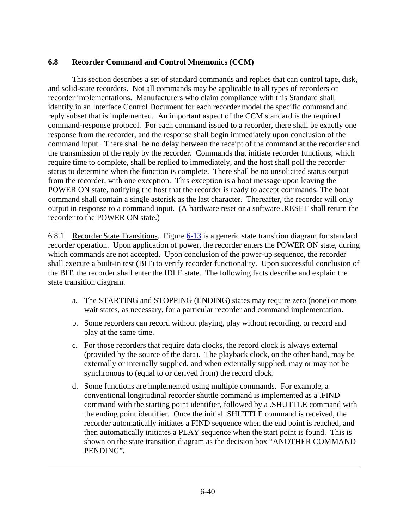# <span id="page-41-0"></span>**6.8 Recorder Command and Control Mnemonics (CCM)**

This section describes a set of standard commands and replies that can control tape, disk, and solid-state recorders. Not all commands may be applicable to all types of recorders or recorder implementations. Manufacturers who claim compliance with this Standard shall identify in an Interface Control Document for each recorder model the specific command and reply subset that is implemented. An important aspect of the CCM standard is the required command-response protocol. For each command issued to a recorder, there shall be exactly one response from the recorder, and the response shall begin immediately upon conclusion of the command input. There shall be no delay between the receipt of the command at the recorder and the transmission of the reply by the recorder. Commands that initiate recorder functions, which require time to complete, shall be replied to immediately, and the host shall poll the recorder status to determine when the function is complete. There shall be no unsolicited status output from the recorder, with one exception. This exception is a boot message upon leaving the POWER ON state, notifying the host that the recorder is ready to accept commands. The boot command shall contain a single asterisk as the last character. Thereafter, the recorder will only output in response to a command input. (A hardware reset or a software .RESET shall return the recorder to the POWER ON state.)

6.8.1 Recorder State Transitions. Figure [6-13](#page-43-0) is a generic state transition diagram for standard recorder operation. Upon application of power, the recorder enters the POWER ON state, during which commands are not accepted. Upon conclusion of the power-up sequence, the recorder shall execute a built-in test (BIT) to verify recorder functionality. Upon successful conclusion of the BIT, the recorder shall enter the IDLE state. The following facts describe and explain the state transition diagram.

- a. The STARTING and STOPPING (ENDING) states may require zero (none) or more wait states, as necessary, for a particular recorder and command implementation.
- b. Some recorders can record without playing, play without recording, or record and play at the same time.
- c. For those recorders that require data clocks, the record clock is always external (provided by the source of the data). The playback clock, on the other hand, may be externally or internally supplied, and when externally supplied, may or may not be synchronous to (equal to or derived from) the record clock.
- d. Some functions are implemented using multiple commands. For example, a conventional longitudinal recorder shuttle command is implemented as a .FIND command with the starting point identifier, followed by a .SHUTTLE command with the ending point identifier. Once the initial .SHUTTLE command is received, the recorder automatically initiates a FIND sequence when the end point is reached, and then automatically initiates a PLAY sequence when the start point is found. This is shown on the state transition diagram as the decision box "ANOTHER COMMAND PENDING".

 $\overline{a}$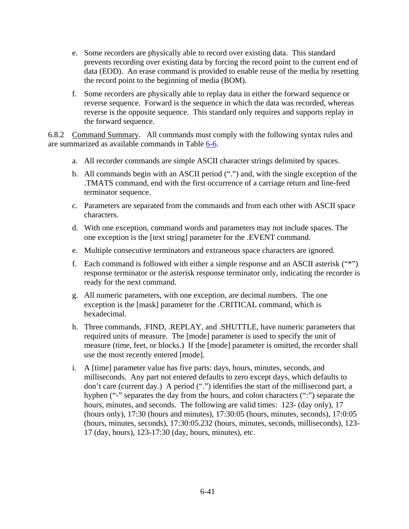- <span id="page-42-0"></span>e. Some recorders are physically able to record over existing data. This standard prevents recording over existing data by forcing the record point to the current end of data (EOD). An erase command is provided to enable reuse of the media by resetting the record point to the beginning of media (BOM).
- f. Some recorders are physically able to replay data in either the forward sequence or reverse sequence. Forward is the sequence in which the data was recorded, whereas reverse is the opposite sequence. This standard only requires and supports replay in the forward sequence.

6.8.2 Command Summary. All commands must comply with the following syntax rules and are summarized as available commands in Table [6-6](#page-44-0).

- a. All recorder commands are simple ASCII character strings delimited by spaces.
- b. All commands begin with an ASCII period (".") and, with the single exception of the .TMATS command, end with the first occurrence of a carriage return and line-feed terminator sequence.
- c. Parameters are separated from the commands and from each other with ASCII space characters.
- d. With one exception, command words and parameters may not include spaces. The one exception is the [text string] parameter for the .EVENT command.
- e. Multiple consecutive terminators and extraneous space characters are ignored.
- f. Each command is followed with either a simple response and an ASCII asterisk ("\*") response terminator or the asterisk response terminator only, indicating the recorder is ready for the next command.
- g. All numeric parameters, with one exception, are decimal numbers. The one exception is the [mask] parameter for the .CRITICAL command, which is hexadecimal.
- h. Three commands, .FIND, .REPLAY, and .SHUTTLE, have numeric parameters that required units of measure. The [mode] parameter is used to specify the unit of measure (time, feet, or blocks.) If the [mode] parameter is omitted, the recorder shall use the most recently entered [mode].
- i. A [time] parameter value has five parts: days, hours, minutes, seconds, and milliseconds. Any part not entered defaults to zero except days, which defaults to don't care (current day.) A period (".") identifies the start of the millisecond part, a hyphen ("-" separates the day from the hours, and colon characters (":") separate the hours, minutes, and seconds. The following are valid times: 123- (day only), 17 (hours only), 17:30 (hours and minutes), 17:30:05 (hours, minutes, seconds), 17:0:05 (hours, minutes, seconds), 17:30:05.232 (hours, minutes, seconds, milliseconds), 123- 17 (day, hours), 123-17:30 (day, hours, minutes), etc.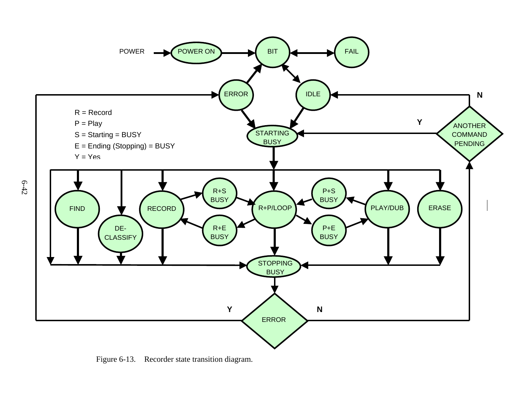

<span id="page-43-0"></span>Figure 6-13. Recorder state transition diagram.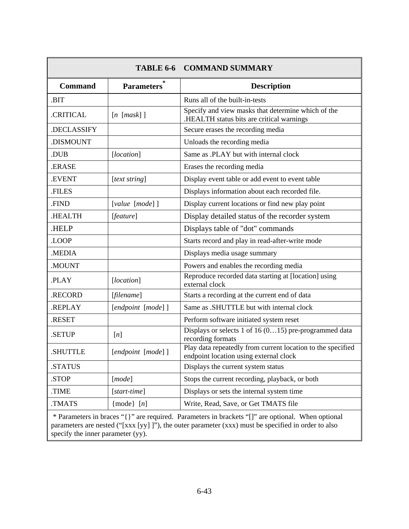<span id="page-44-0"></span>

|                |                     | <b>TABLE 6-6 COMMAND SUMMARY</b>                                                                                                                                                                         |
|----------------|---------------------|----------------------------------------------------------------------------------------------------------------------------------------------------------------------------------------------------------|
| <b>Command</b> | <b>Parameters</b>   | <b>Description</b>                                                                                                                                                                                       |
| .BIT           |                     | Runs all of the built-in-tests                                                                                                                                                                           |
| .CRITICAL      | $[n \; [mask] ]$    | Specify and view masks that determine which of the<br>HEALTH status bits are critical warnings.                                                                                                          |
| .DECLASSIFY    |                     | Secure erases the recording media                                                                                                                                                                        |
| .DISMOUNT      |                     | Unloads the recording media                                                                                                                                                                              |
| .DUB           | [location]          | Same as .PLAY but with internal clock                                                                                                                                                                    |
| .ERASE         |                     | Erases the recording media                                                                                                                                                                               |
| <b>.EVENT</b>  | [text string]       | Display event table or add event to event table                                                                                                                                                          |
| .FILES         |                     | Displays information about each recorded file.                                                                                                                                                           |
| .FIND          | $[value \ [mode]$ ] | Display current locations or find new play point                                                                                                                                                         |
| .HEALTH        | [feature]           | Display detailed status of the recorder system                                                                                                                                                           |
| .HELP          |                     | Displays table of "dot" commands                                                                                                                                                                         |
| .LOOP          |                     | Starts record and play in read-after-write mode                                                                                                                                                          |
| .MEDIA         |                     | Displays media usage summary                                                                                                                                                                             |
| .MOUNT         |                     | Powers and enables the recording media                                                                                                                                                                   |
| .PLAY          | [location]          | Reproduce recorded data starting at [location] using<br>external clock                                                                                                                                   |
| .RECORD        | [filename]          | Starts a recording at the current end of data                                                                                                                                                            |
| .REPLAY        | [endpoint [mode]]   | Same as .SHUTTLE but with internal clock                                                                                                                                                                 |
| <b>RESET</b>   |                     | Perform software initiated system reset                                                                                                                                                                  |
| <b>SETUP</b>   | [n]                 | Displays or selects 1 of 16 $(015)$ pre-programmed data<br>recording formats                                                                                                                             |
| <b>SHUTTLE</b> | [endpoint [mode]]   | Play data repeatedly from current location to the specified<br>endpoint location using external clock                                                                                                    |
| .STATUS        |                     | Displays the current system status                                                                                                                                                                       |
| .STOP          | [mode]              | Stops the current recording, playback, or both                                                                                                                                                           |
| .TIME          | [start-time]        | Displays or sets the internal system time                                                                                                                                                                |
| TMATS.         | ${mode}$ [n]        | Write, Read, Save, or Get TMATS file                                                                                                                                                                     |
|                |                     | * Parameters in braces "{}" are required. Parameters in brackets "[]" are optional. When optional<br>parameters are nested ("[xxx [yy] ]"), the outer parameter (xxx) must be specified in order to also |

specify the inner parameter (yy).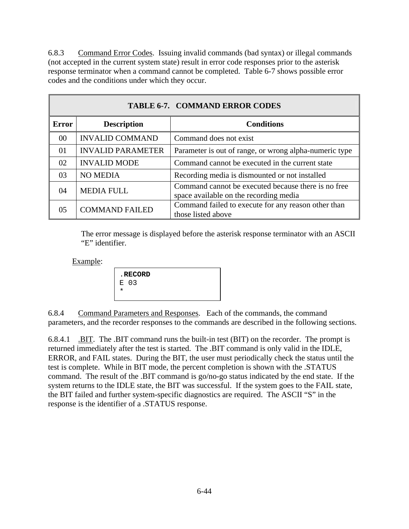<span id="page-45-0"></span>6.8.3 Command Error Codes. Issuing invalid commands (bad syntax) or illegal commands (not accepted in the current system state) result in error code responses prior to the asterisk response terminator when a command cannot be completed. Table 6-7 shows possible error codes and the conditions under which they occur.

|              | <b>TABLE 6-7. COMMAND ERROR CODES</b> |                                                                                               |  |  |  |
|--------------|---------------------------------------|-----------------------------------------------------------------------------------------------|--|--|--|
| <b>Error</b> | <b>Description</b>                    | <b>Conditions</b>                                                                             |  |  |  |
| 00           | <b>INVALID COMMAND</b>                | Command does not exist                                                                        |  |  |  |
| 01           | <b>INVALID PARAMETER</b>              | Parameter is out of range, or wrong alpha-numeric type                                        |  |  |  |
| 02           | <b>INVALID MODE</b>                   | Command cannot be executed in the current state                                               |  |  |  |
| 03           | <b>NO MEDIA</b>                       | Recording media is dismounted or not installed                                                |  |  |  |
| 04           | <b>MEDIA FULL</b>                     | Command cannot be executed because there is no free<br>space available on the recording media |  |  |  |
| 05           | <b>COMMAND FAILED</b>                 | Command failed to execute for any reason other than<br>those listed above                     |  |  |  |

 The error message is displayed before the asterisk response terminator with an ASCII "E" identifier.

Example:

|   | . RECORD |  |  |
|---|----------|--|--|
|   | E 03     |  |  |
| * |          |  |  |
|   |          |  |  |

6.8.4 Command Parameters and Responses. Each of the commands, the command parameters, and the recorder responses to the commands are described in the following sections.

6.8.4.1 .BIT. The .BIT command runs the built-in test (BIT) on the recorder. The prompt is returned immediately after the test is started. The .BIT command is only valid in the IDLE, ERROR, and FAIL states. During the BIT, the user must periodically check the status until the test is complete. While in BIT mode, the percent completion is shown with the .STATUS command. The result of the .BIT command is go/no-go status indicated by the end state. If the system returns to the IDLE state, the BIT was successful. If the system goes to the FAIL state, the BIT failed and further system-specific diagnostics are required. The ASCII "S" in the response is the identifier of a .STATUS response.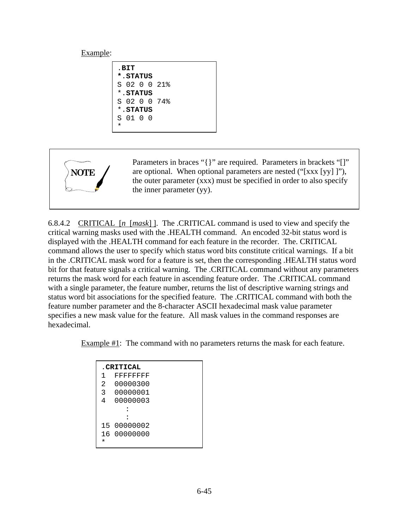.**BIT \***.**STATUS** S 02 0 0 21% \*.**STATUS** S 02 0 0 74% \*.**STATUS** S 01 0 0 \*



Parameters in braces "{}" are required. Parameters in brackets "[]" are optional. When optional parameters are nested ("[xxx [yy] ]"), the outer parameter (xxx) must be specified in order to also specify the inner parameter (yy).

6.8.4.2 CRITICAL [*n* [*mask*] ]. The .CRITICAL command is used to view and specify the critical warning masks used with the .HEALTH command. An encoded 32-bit status word is displayed with the .HEALTH command for each feature in the recorder. The. CRITICAL command allows the user to specify which status word bits constitute critical warnings. If a bit in the .CRITICAL mask word for a feature is set, then the corresponding .HEALTH status word bit for that feature signals a critical warning. The .CRITICAL command without any parameters returns the mask word for each feature in ascending feature order. The .CRITICAL command with a single parameter, the feature number, returns the list of descriptive warning strings and status word bit associations for the specified feature. The .CRITICAL command with both the feature number parameter and the 8-character ASCII hexadecimal mask value parameter specifies a new mask value for the feature. All mask values in the command responses are hexadecimal.

Example #1: The command with no parameters returns the mask for each feature.

|         | <b>CRITICAL</b> |
|---------|-----------------|
| 1       | <b>FFFFFFFF</b> |
| 2       | 00000300        |
| 3       | 00000001        |
| 4       | 00000003        |
|         |                 |
|         |                 |
|         | 15 00000002     |
|         | 16 00000000     |
| $\star$ |                 |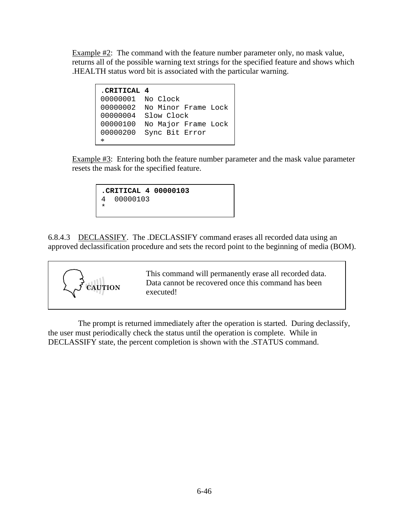Example #2: The command with the feature number parameter only, no mask value, returns all of the possible warning text strings for the specified feature and shows which .HEALTH status word bit is associated with the particular warning.

```
.CRITICAL 4
00000001 No Clock 
00000002 No Minor Frame Lock
00000004 Slow Clock 
00000100 No Major Frame Lock
00000200 Sync Bit Error 
*
```
Example #3: Entering both the feature number parameter and the mask value parameter resets the mask for the specified feature.

```
.CRITICAL 4 00000103 
4 00000103 
*
```
6.8.4.3 DECLASSIFY. The .DECLASSIFY command erases all recorded data using an approved declassification procedure and sets the record point to the beginning of media (BOM).



This command will permanently erase all recorded data. Data cannot be recovered once this command has been executed!

 The prompt is returned immediately after the operation is started. During declassify, the user must periodically check the status until the operation is complete. While in DECLASSIFY state, the percent completion is shown with the .STATUS command.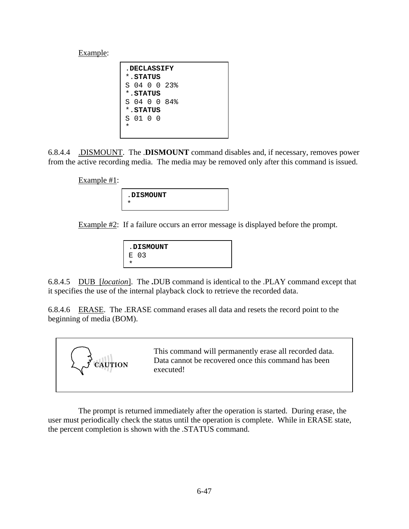| <b>DECLASSIFY</b> |  |
|-------------------|--|
| *.STATUS          |  |
| S 04 0 0 23.      |  |
| * STATUS          |  |
| S 04 0 0 84%      |  |
| *.STATUS          |  |
| S 01 0 0          |  |
| *                 |  |
|                   |  |

6.8.4.4 .DISMOUNT. The .**DISMOUNT** command disables and, if necessary, removes power from the active recording media. The media may be removed only after this command is issued.

Example #1:



Example  $\#2$ : If a failure occurs an error message is displayed before the prompt.

| <b>.DISMOUNT</b> |  |
|------------------|--|
| E 03             |  |
|                  |  |

6.8.4.5 DUB [*location*]. The **.**DUB command is identical to the .PLAY command except that it specifies the use of the internal playback clock to retrieve the recorded data.

6.8.4.6 ERASE. The .ERASE command erases all data and resets the record point to the beginning of media (BOM).



 The prompt is returned immediately after the operation is started. During erase, the user must periodically check the status until the operation is complete. While in ERASE state, the percent completion is shown with the .STATUS command.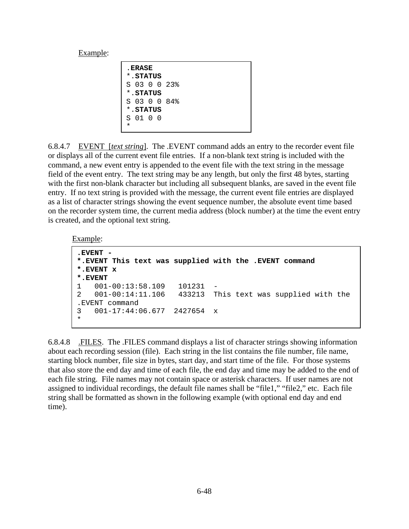| <b>. ERASE</b> |          |  |  |  |
|----------------|----------|--|--|--|
|                | *.STATUS |  |  |  |
| S 03 0 0 23%   |          |  |  |  |
| * STATUS       |          |  |  |  |
| S 03 0 0 84%   |          |  |  |  |
| *. STATUS      |          |  |  |  |
| S 01 0 0       |          |  |  |  |
|                |          |  |  |  |

6.8.4.7 EVENT [*text string*]. The .EVENT command adds an entry to the recorder event file or displays all of the current event file entries. If a non-blank text string is included with the command, a new event entry is appended to the event file with the text string in the message field of the event entry. The text string may be any length, but only the first 48 bytes, starting with the first non-blank character but including all subsequent blanks, are saved in the event file entry. If no text string is provided with the message, the current event file entries are displayed as a list of character strings showing the event sequence number, the absolute event time based on the recorder system time, the current media address (block number) at the time the event entry is created, and the optional text string.

#### Example:

```
.EVENT - 
*.EVENT This text was supplied with the .EVENT command 
*.EVENT x 
*.EVENT 
1 001-00:13:58.109 101231 - 
2 001-00:14:11.106 433213 This text was supplied with the 
.EVENT command 
3 001-17:44:06.677 2427654 x 
*
```
6.8.4.8 .FILES. The .FILES command displays a list of character strings showing information about each recording session (file). Each string in the list contains the file number, file name, starting block number, file size in bytes, start day, and start time of the file. For those systems that also store the end day and time of each file, the end day and time may be added to the end of each file string. File names may not contain space or asterisk characters. If user names are not assigned to individual recordings, the default file names shall be "file1," "file2," etc. Each file string shall be formatted as shown in the following example (with optional end day and end time).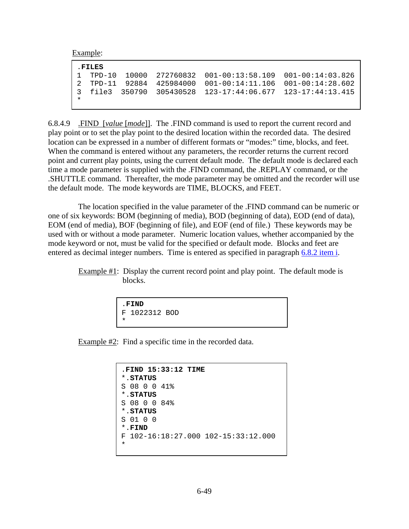| . FILES |  |                                                              |  |
|---------|--|--------------------------------------------------------------|--|
|         |  | $1$ TPD-10 10000 272760832 001-00:13:58.109 001-00:14:03.826 |  |
|         |  | 2 TPD-11 92884 425984000 001-00:14:11.106 001-00:14:28.602   |  |
|         |  | 3 file3 350790 305430528 123-17:44:06.677 123-17:44:13.415   |  |
|         |  |                                                              |  |
|         |  |                                                              |  |

6.8.4.9 .FIND [*value* [*mode*]]. The .FIND command is used to report the current record and play point or to set the play point to the desired location within the recorded data. The desired location can be expressed in a number of different formats or "modes:" time, blocks, and feet. When the command is entered without any parameters, the recorder returns the current record point and current play points, using the current default mode. The default mode is declared each time a mode parameter is supplied with the .FIND command, the .REPLAY command, or the .SHUTTLE command. Thereafter, the mode parameter may be omitted and the recorder will use the default mode. The mode keywords are TIME, BLOCKS, and FEET.

 The location specified in the value parameter of the .FIND command can be numeric or one of six keywords: BOM (beginning of media), BOD (beginning of data), EOD (end of data), EOM (end of media), BOF (beginning of file), and EOF (end of file.) These keywords may be used with or without a mode parameter. Numeric location values, whether accompanied by the mode keyword or not, must be valid for the specified or default mode. Blocks and feet are entered as decimal integer numbers. Time is entered as specified in paragraph [6.8.2 item i.](#page-42-0)

Example #1: Display the current record point and play point. The default mode is blocks.

```
.FIND
F 1022312 BOD 
*
```
Example #2: Find a specific time in the recorded data.

```
.FIND 15:33:12 TIME
*.STATUS
S 08 0 0 41% 
*.STATUS
S 08 0 0 84% 
*.STATUS
S 01 0 0 
*.FIND
F 102-16:18:27.000 102-15:33:12.000 
*
```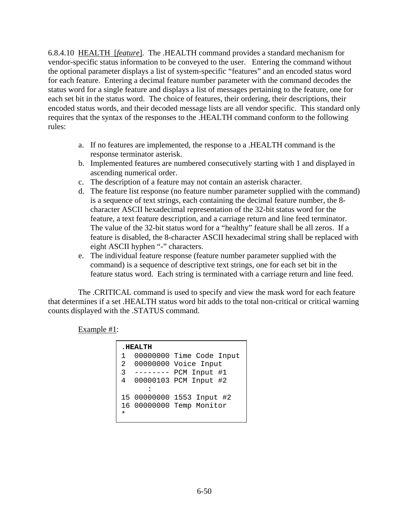6.8.4.10 HEALTH [*feature*]. The .HEALTH command provides a standard mechanism for vendor-specific status information to be conveyed to the user. Entering the command without the optional parameter displays a list of system-specific "features" and an encoded status word for each feature. Entering a decimal feature number parameter with the command decodes the status word for a single feature and displays a list of messages pertaining to the feature, one for each set bit in the status word. The choice of features, their ordering, their descriptions, their encoded status words, and their decoded message lists are all vendor specific. This standard only requires that the syntax of the responses to the .HEALTH command conform to the following rules:

- a. If no features are implemented, the response to a .HEALTH command is the response terminator asterisk.
- b. Implemented features are numbered consecutively starting with 1 and displayed in ascending numerical order.
- c. The description of a feature may not contain an asterisk character.
- d. The feature list response (no feature number parameter supplied with the command) is a sequence of text strings, each containing the decimal feature number, the 8 character ASCII hexadecimal representation of the 32-bit status word for the feature, a text feature description, and a carriage return and line feed terminator. The value of the 32-bit status word for a "healthy" feature shall be all zeros. If a feature is disabled, the 8-character ASCII hexadecimal string shall be replaced with eight ASCII hyphen "-" characters.
- e. The individual feature response (feature number parameter supplied with the command) is a sequence of descriptive text strings, one for each set bit in the feature status word. Each string is terminated with a carriage return and line feed.

 The .CRITICAL command is used to specify and view the mask word for each feature that determines if a set .HEALTH status word bit adds to the total non-critical or critical warning counts displayed with the .STATUS command.

Example #1:

```
.HEALTH
1 00000000 Time Code Input
2 00000000 Voice Input 
3 -------- PCM Input #1 
4 00000103 PCM Input #2 
: 1995 - 1996
15 00000000 1553 Input #2 
16 00000000 Temp Monitor 
*
```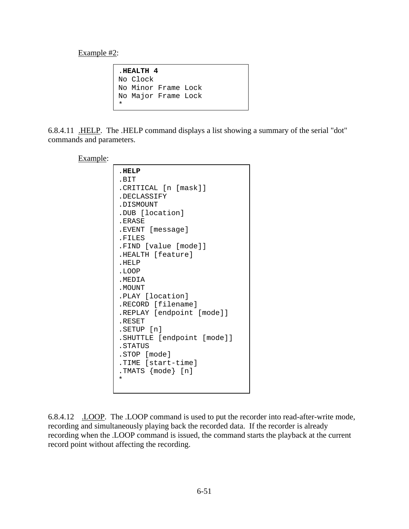Example #2:

.**HEALTH 4** No Clock No Minor Frame Lock No Major Frame Lock \*

6.8.4.11 .HELP. The .HELP command displays a list showing a summary of the serial "dot" commands and parameters.

#### Example:

| HELP                       |  |
|----------------------------|--|
| .BIT                       |  |
| .CRITICAL [n [mask]]       |  |
| .DECLASSIFY                |  |
| .DISMOUNT                  |  |
| .DUB [location]            |  |
| .ERASE                     |  |
| .EVENT [message]           |  |
| .FILES                     |  |
| .FIND [value [mode]]       |  |
| .HEALTH [feature]          |  |
| .HELP                      |  |
| .LOOP                      |  |
| . MEDIA                    |  |
| . MOUNT                    |  |
| .PLAY [location]           |  |
| .RECORD [filename]         |  |
| .REPLAY [endpoint [mode]]  |  |
| .RESET                     |  |
| .SETUP [n]                 |  |
| .SHUTTLE [endpoint [mode]] |  |
| . STATUS                   |  |
| .STOP [mode]               |  |
| .TIME [start-time]         |  |
| .TMATS {mode} [n]          |  |
| *                          |  |
|                            |  |

6.8.4.12 .LOOP. The .LOOP command is used to put the recorder into read-after-write mode, recording and simultaneously playing back the recorded data. If the recorder is already recording when the .LOOP command is issued, the command starts the playback at the current record point without affecting the recording.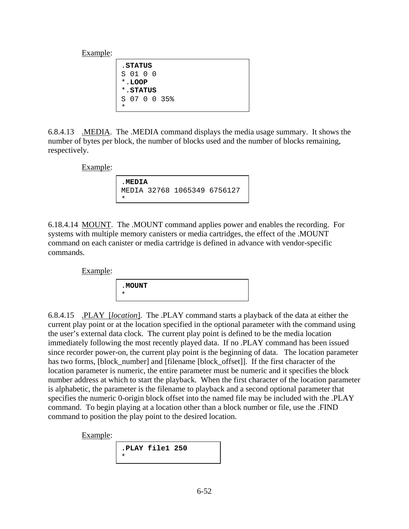.**STATUS** S 01 0 0 \*.**LOOP** \*.**STATUS** S 07 0 0 35% \*

6.8.4.13 .MEDIA. The .MEDIA command displays the media usage summary. It shows the number of bytes per block, the number of blocks used and the number of blocks remaining, respectively.

Example:

.**MEDIA** MEDIA 32768 1065349 6756127 \*

6.18.4.14 MOUNT. The .MOUNT command applies power and enables the recording. For systems with multiple memory canisters or media cartridges, the effect of the .MOUNT command on each canister or media cartridge is defined in advance with vendor-specific commands.

Example:

| <b>MOUNT</b> |  |  |
|--------------|--|--|
| *            |  |  |

6.8.4.15 .PLAY [*location*]. The .PLAY command starts a playback of the data at either the current play point or at the location specified in the optional parameter with the command using the user's external data clock. The current play point is defined to be the media location immediately following the most recently played data. If no .PLAY command has been issued since recorder power-on, the current play point is the beginning of data. The location parameter has two forms, [block\_number] and [filename [block\_offset]]. If the first character of the location parameter is numeric, the entire parameter must be numeric and it specifies the block number address at which to start the playback. When the first character of the location parameter is alphabetic, the parameter is the filename to playback and a second optional parameter that specifies the numeric 0-origin block offset into the named file may be included with the .PLAY command. To begin playing at a location other than a block number or file, use the .FIND command to position the play point to the desired location.

Example:

| PLAY file1 250. |  |
|-----------------|--|
|-----------------|--|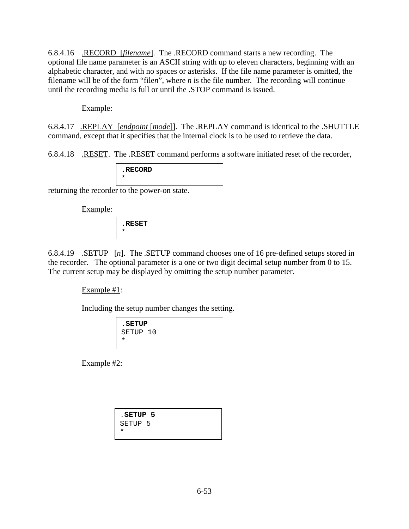6.8.4.16 .RECORD [*filename*]. The .RECORD command starts a new recording. The optional file name parameter is an ASCII string with up to eleven characters, beginning with an alphabetic character, and with no spaces or asterisks. If the file name parameter is omitted, the filename will be of the form "file*n*", where *n* is the file number. The recording will continue until the recording media is full or until the .STOP command is issued.

## Example:

6.8.4.17 .REPLAY [*endpoint* [*mode*]]. The .REPLAY command is identical to the .SHUTTLE command, except that it specifies that the internal clock is to be used to retrieve the data.

6.8.4.18 .RESET. The .RESET command performs a software initiated reset of the recorder,

| . RECORD |  |  |
|----------|--|--|
|          |  |  |

returning the recorder to the power-on state.

Example:

| RESET. |  |
|--------|--|
|        |  |

6.8.4.19 .SETUP [*n*]. The .SETUP command chooses one of 16 pre-defined setups stored in the recorder. The optional parameter is a one or two digit decimal setup number from 0 to 15. The current setup may be displayed by omitting the setup number parameter.

Example #1:

Including the setup number changes the setting.

| . SETUP<br>SETUP 10 |  |  |
|---------------------|--|--|

Example #2:

| SETUP 5.           |  |
|--------------------|--|
| SETUP <sub>5</sub> |  |
| *                  |  |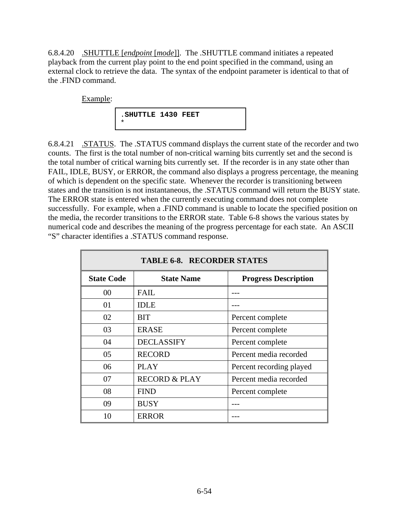<span id="page-55-0"></span>6.8.4.20 .SHUTTLE [*endpoint* [*mode*]]. The .SHUTTLE command initiates a repeated playback from the current play point to the end point specified in the command, using an external clock to retrieve the data. The syntax of the endpoint parameter is identical to that of the .FIND command.

Example:



6.8.4.21 .STATUS. The .STATUS command displays the current state of the recorder and two counts. The first is the total number of non-critical warning bits currently set and the second is the total number of critical warning bits currently set. If the recorder is in any state other than FAIL, IDLE, BUSY, or ERROR, the command also displays a progress percentage, the meaning of which is dependent on the specific state. Whenever the recorder is transitioning between states and the transition is not instantaneous, the .STATUS command will return the BUSY state. The ERROR state is entered when the currently executing command does not complete successfully. For example, when a .FIND command is unable to locate the specified position on the media, the recorder transitions to the ERROR state. Table 6-8 shows the various states by numerical code and describes the meaning of the progress percentage for each state. An ASCII "S" character identifies a .STATUS command response.

| <b>TABLE 6-8. RECORDER STATES</b> |                          |                             |  |  |  |  |  |  |
|-----------------------------------|--------------------------|-----------------------------|--|--|--|--|--|--|
| <b>State Code</b>                 | <b>State Name</b>        | <b>Progress Description</b> |  |  |  |  |  |  |
| 00                                | <b>FAIL</b>              |                             |  |  |  |  |  |  |
| 01                                | <b>IDLE</b>              |                             |  |  |  |  |  |  |
| 02                                | <b>BIT</b>               | Percent complete            |  |  |  |  |  |  |
| 03                                | <b>ERASE</b>             | Percent complete            |  |  |  |  |  |  |
| 04                                | <b>DECLASSIFY</b>        | Percent complete            |  |  |  |  |  |  |
| 05                                | <b>RECORD</b>            | Percent media recorded      |  |  |  |  |  |  |
| 06                                | <b>PLAY</b>              | Percent recording played    |  |  |  |  |  |  |
| 07                                | <b>RECORD &amp; PLAY</b> | Percent media recorded      |  |  |  |  |  |  |
| 08                                | <b>FIND</b>              | Percent complete            |  |  |  |  |  |  |
| 09                                | <b>BUSY</b>              |                             |  |  |  |  |  |  |
| 10                                | <b>ERROR</b>             |                             |  |  |  |  |  |  |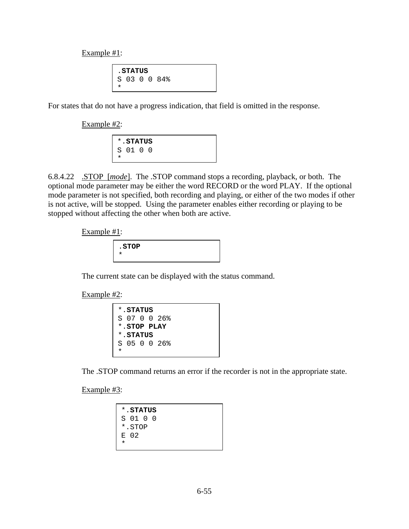Example #1:

.**STATUS** S 03 0 0 84% \*

For states that do not have a progress indication, that field is omitted in the response.

Example #2:

| *.STATUS |  |
|----------|--|
| S 01 0 0 |  |
|          |  |

6.8.4.22 .STOP [*mode*]. The .STOP command stops a recording, playback, or both. The optional mode parameter may be either the word RECORD or the word PLAY. If the optional mode parameter is not specified, both recording and playing, or either of the two modes if other is not active, will be stopped. Using the parameter enables either recording or playing to be stopped without affecting the other when both are active.

Example #1:

| . STOP |  |
|--------|--|
|        |  |

The current state can be displayed with the status command.

Example #2:

|   | * STATUS    |  |              |  |  |
|---|-------------|--|--------------|--|--|
|   |             |  | S 07 0 0 26% |  |  |
|   | * STOP PLAY |  |              |  |  |
|   | *.STATUS    |  |              |  |  |
|   |             |  | S 05 0 0 26% |  |  |
| ÷ |             |  |              |  |  |

The .STOP command returns an error if the recorder is not in the appropriate state.

Example #3:

|   | *. STATUS  |  |
|---|------------|--|
|   | S 01 0 0   |  |
|   | $*$ . STOP |  |
|   | E 02       |  |
| * |            |  |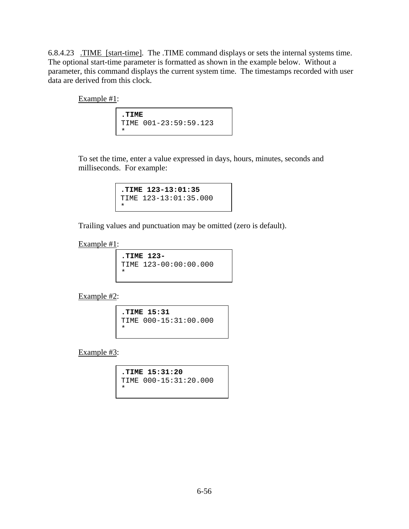6.8.4.23 .TIME [start-time]. The .TIME command displays or sets the internal systems time. The optional start-time parameter is formatted as shown in the example below. Without a parameter, this command displays the current system time. The timestamps recorded with user data are derived from this clock.

Example #1:

**.TIME**  TIME 001-23:59:59.123 \*

 To set the time, enter a value expressed in days, hours, minutes, seconds and milliseconds. For example:

> **.TIME 123-13:01:35**  TIME 123-13:01:35.000 \*

Trailing values and punctuation may be omitted (zero is default).

Example #1:

**.TIME 123-**  TIME 123-00:00:00.000 \*

Example #2:

**.TIME 15:31**  TIME 000-15:31:00.000 \*

Example #3:

**.TIME 15:31:20**  TIME 000-15:31:20.000 \*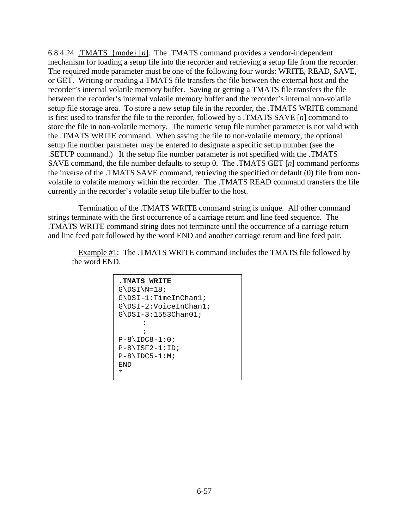6.8.4.24 .TMATS {mode} [*n*]. The .TMATS command provides a vendor-independent mechanism for loading a setup file into the recorder and retrieving a setup file from the recorder. The required mode parameter must be one of the following four words: WRITE, READ, SAVE, or GET. Writing or reading a TMATS file transfers the file between the external host and the recorder's internal volatile memory buffer. Saving or getting a TMATS file transfers the file between the recorder's internal volatile memory buffer and the recorder's internal non-volatile setup file storage area. To store a new setup file in the recorder, the .TMATS WRITE command is first used to transfer the file to the recorder, followed by a .TMATS SAVE [*n*] command to store the file in non-volatile memory. The numeric setup file number parameter is not valid with the .TMATS WRITE command. When saving the file to non-volatile memory, the optional setup file number parameter may be entered to designate a specific setup number (see the .SETUP command.) If the setup file number parameter is not specified with the .TMATS SAVE command, the file number defaults to setup 0. The .TMATS GET [*n*] command performs the inverse of the .TMATS SAVE command, retrieving the specified or default (0) file from nonvolatile to volatile memory within the recorder. The .TMATS READ command transfers the file currently in the recorder's volatile setup file buffer to the host.

 Termination of the .TMATS WRITE command string is unique. All other command strings terminate with the first occurrence of a carriage return and line feed sequence. The .TMATS WRITE command string does not terminate until the occurrence of a carriage return and line feed pair followed by the word END and another carriage return and line feed pair.

 Example #1: The .TMATS WRITE command includes the TMATS file followed by the word END.

```
.TMATS WRITE
G\DSI\N=18;G\DSI-1:TimeInChan1; 
G\DSI-2:VoiceInChan1; 
G\DSI-3:1553Chan01; 
: 1995 (Partie)
       : 
P-8\IDC8-1:0;P-8\ISF2-1:ID;P-8\IDC5-1:M;END 
*
```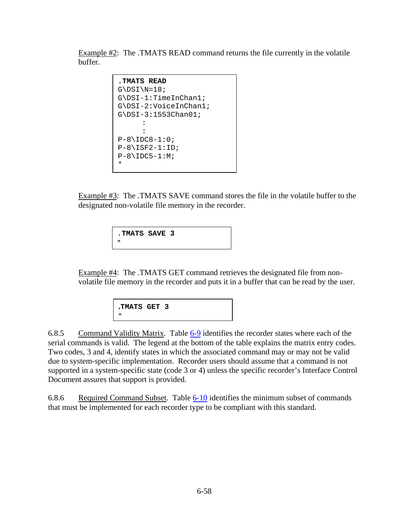Example #2: The .TMATS READ command returns the file currently in the volatile buffer.

```
.TMATS READ 
G\DSI\N=18;G\DSI-1:TimeInChan1; 
G\DSI-2:VoiceInChan1; 
G\DSI-3:1553Chan01; 
: 1995 (Particular)
: 1995 (Particular)
P-8\IDC8-1:0;P-8\ISF2-1:ID;P-8\IDC5-1:M;*
```
Example #3: The .TMATS SAVE command stores the file in the volatile buffer to the designated non-volatile file memory in the recorder.

> .**TMATS SAVE 3** \*

 Example #4: The .TMATS GET command retrieves the designated file from nonvolatile file memory in the recorder and puts it in a buffer that can be read by the user.

```
.TMATS GET 3 
*
```
6.8.5 Command Validity Matrix. Table [6-9](#page-60-0) identifies the recorder states where each of the serial commands is valid. The legend at the bottom of the table explains the matrix entry codes. Two codes, 3 and 4, identify states in which the associated command may or may not be valid due to system-specific implementation. Recorder users should assume that a command is not supported in a system-specific state (code 3 or 4) unless the specific recorder's Interface Control Document assures that support is provided.

6.8.6 Required Command Subset. Table [6-10](#page-61-0) identifies the minimum subset of commands that must be implemented for each recorder type to be compliant with this standard.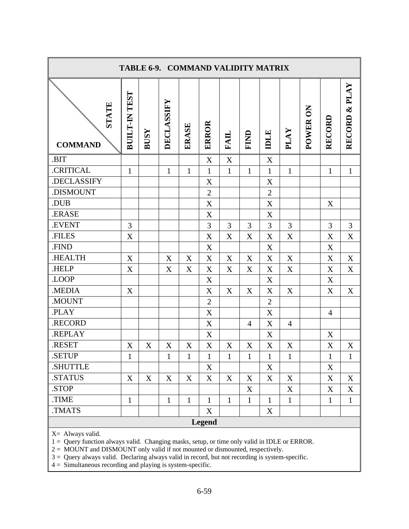<span id="page-60-0"></span>

| TABLE 6-9. COMMAND VALIDITY MATRIX                                                                                                                                                                                                                                                                                                                                   |                      |             |              |              |                           |              |                |                |                |          |                  |               |
|----------------------------------------------------------------------------------------------------------------------------------------------------------------------------------------------------------------------------------------------------------------------------------------------------------------------------------------------------------------------|----------------------|-------------|--------------|--------------|---------------------------|--------------|----------------|----------------|----------------|----------|------------------|---------------|
| <b>STATE</b><br><b>COMMAND</b>                                                                                                                                                                                                                                                                                                                                       | <b>BUILT-IN TEST</b> | <b>BUSY</b> | DECLASSIFY   | ERASE        | ERROR                     | <b>FAIL</b>  | FIND           | IDLE           | PLAY           | POWER ON | RECORD           | RECORD & PLAY |
| .BIT                                                                                                                                                                                                                                                                                                                                                                 |                      |             |              |              | X                         | X            |                | X              |                |          |                  |               |
| .CRITICAL                                                                                                                                                                                                                                                                                                                                                            | $\mathbf{1}$         |             | $\mathbf{1}$ | $\mathbf{1}$ | $\mathbf{1}$              | $\mathbf{1}$ | $\mathbf{1}$   | $\mathbf{1}$   | $\mathbf{1}$   |          | $\mathbf{1}$     | $\mathbf{1}$  |
| .DECLASSIFY                                                                                                                                                                                                                                                                                                                                                          |                      |             |              |              | X                         |              |                | X              |                |          |                  |               |
| .DISMOUNT                                                                                                                                                                                                                                                                                                                                                            |                      |             |              |              | $\mathbf{2}$              |              |                | $\overline{2}$ |                |          |                  |               |
| .DUB                                                                                                                                                                                                                                                                                                                                                                 |                      |             |              |              | $\mathbf X$               |              |                | X              |                |          | X                |               |
| .ERASE                                                                                                                                                                                                                                                                                                                                                               |                      |             |              |              | X                         |              |                | X              |                |          |                  |               |
| .EVENT                                                                                                                                                                                                                                                                                                                                                               | 3                    |             |              |              | 3                         | 3            | 3              | 3              | 3              |          | 3                | 3             |
| .FILES                                                                                                                                                                                                                                                                                                                                                               | $\boldsymbol{X}$     |             |              |              | $\mathbf X$               | X            | X              | X              | $\mathbf X$    |          | $\mathbf X$      | $\mathbf X$   |
| .FIND                                                                                                                                                                                                                                                                                                                                                                |                      |             |              |              | X                         |              |                | X              |                |          | X                |               |
| .HEALTH                                                                                                                                                                                                                                                                                                                                                              | $\mathbf X$          |             | X            | X            | X                         | X            | X              | X              | $\mathbf X$    |          | $\boldsymbol{X}$ | $\mathbf X$   |
| .HELP                                                                                                                                                                                                                                                                                                                                                                | X                    |             | X            | X            | X                         | X            | X              | $\mathbf X$    | $\mathbf X$    |          | $\mathbf X$      | X             |
| .LOOP                                                                                                                                                                                                                                                                                                                                                                |                      |             |              |              | $\mathbf X$               |              |                | X              |                |          | $\mathbf X$      |               |
| .MEDIA                                                                                                                                                                                                                                                                                                                                                               | $\boldsymbol{X}$     |             |              |              | X                         | X            | X              | X              | X              |          | $\boldsymbol{X}$ | X             |
| .MOUNT                                                                                                                                                                                                                                                                                                                                                               |                      |             |              |              | $\overline{2}$            |              |                | $\overline{2}$ |                |          |                  |               |
| .PLAY                                                                                                                                                                                                                                                                                                                                                                |                      |             |              |              | X                         |              |                | X              |                |          | $\overline{4}$   |               |
| .RECORD                                                                                                                                                                                                                                                                                                                                                              |                      |             |              |              | X                         |              | $\overline{4}$ | X              | $\overline{4}$ |          |                  |               |
| .REPLAY                                                                                                                                                                                                                                                                                                                                                              |                      |             |              |              | X                         |              |                | X              |                |          | X                |               |
| .RESET                                                                                                                                                                                                                                                                                                                                                               | X                    | X           | X            | X            | $\boldsymbol{\mathrm{X}}$ | X            | X              | X              | X              |          | X                | X             |
| <b>SETUP</b>                                                                                                                                                                                                                                                                                                                                                         | 1                    |             | 1            | $\mathbf{1}$ | $\mathbf{1}$              | $\mathbf{1}$ | 1              | 1              | 1              |          | 1                | 1             |
| .SHUTTLE                                                                                                                                                                                                                                                                                                                                                             |                      |             |              |              | X                         |              |                | X              |                |          | X                |               |
| .STATUS                                                                                                                                                                                                                                                                                                                                                              | $\mathbf X$          | X           | $\mathbf X$  | X            | X                         | X            | X              | X              | $\mathbf X$    |          | $\mathbf X$      | X             |
| STOP.                                                                                                                                                                                                                                                                                                                                                                |                      |             |              |              |                           |              | X              |                | X              |          | X                | X             |
| .TIME                                                                                                                                                                                                                                                                                                                                                                | $\mathbf{1}$         |             | $\mathbf{1}$ | $\mathbf{1}$ | $\mathbf{1}$              | $\mathbf{1}$ | $\mathbf{1}$   | $\mathbf{1}$   | $\mathbf{1}$   |          | $\mathbf{1}$     | $\mathbf{1}$  |
| TMATS.                                                                                                                                                                                                                                                                                                                                                               |                      |             |              |              | X                         |              |                | X              |                |          |                  |               |
|                                                                                                                                                                                                                                                                                                                                                                      |                      |             |              |              | <b>Legend</b>             |              |                |                |                |          |                  |               |
| X= Always valid.<br>1 = Query function always valid. Changing masks, setup, or time only valid in IDLE or ERROR.<br>2 = MOUNT and DISMOUNT only valid if not mounted or dismounted, respectively.<br>3 = Query always valid. Declaring always valid in record, but not recording is system-specific.<br>$4 =$ Simultaneous recording and playing is system-specific. |                      |             |              |              |                           |              |                |                |                |          |                  |               |